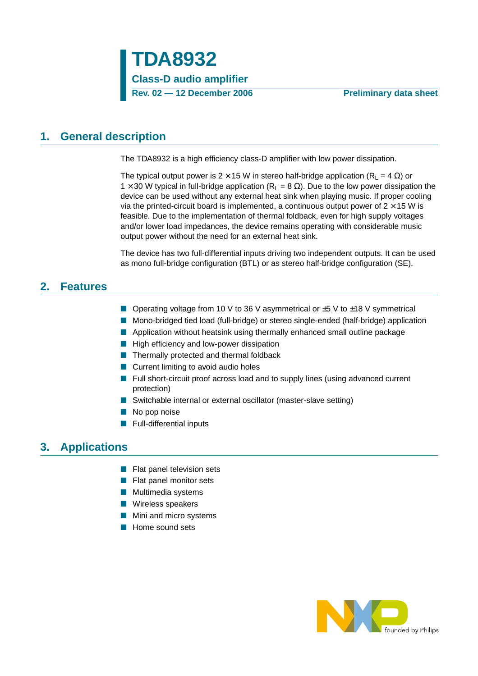# <span id="page-0-0"></span>**1. General description**

The TDA8932 is a high efficiency class-D amplifier with low power dissipation.

The typical output power is  $2 \times 15$  W in stereo half-bridge application (R<sub>L</sub> = 4  $\Omega$ ) or 1 × 30 W typical in full-bridge application (R<sub>L</sub> = 8  $\Omega$ ). Due to the low power dissipation the device can be used without any external heat sink when playing music. If proper cooling via the printed-circuit board is implemented, a continuous output power of  $2 \times 15$  W is feasible. Due to the implementation of thermal foldback, even for high supply voltages and/or lower load impedances, the device remains operating with considerable music output power without the need for an external heat sink.

The device has two full-differential inputs driving two independent outputs. It can be used as mono full-bridge configuration (BTL) or as stereo half-bridge configuration (SE).

## <span id="page-0-1"></span>**2. Features**

- Operating voltage from 10 V to 36 V asymmetrical or ±5 V to ±18 V symmetrical
- Mono-bridged tied load (full-bridge) or stereo single-ended (half-bridge) application
- Application without heatsink using thermally enhanced small outline package
- High efficiency and low-power dissipation
- Thermally protected and thermal foldback
- Current limiting to avoid audio holes
- Full short-circuit proof across load and to supply lines (using advanced current protection)
- Switchable internal or external oscillator (master-slave setting)
- No pop noise
- Full-differential inputs

# <span id="page-0-2"></span>**3. Applications**

- Flat panel television sets
- Flat panel monitor sets
- Multimedia systems
- Wireless speakers
- Mini and micro systems
- Home sound sets

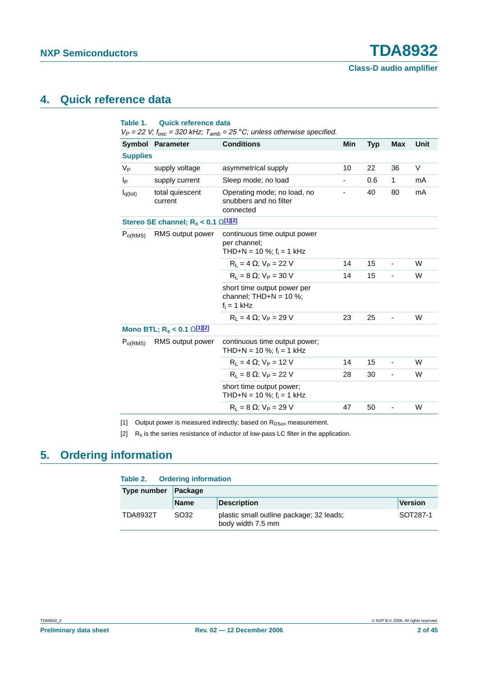## <span id="page-1-2"></span>**4. Quick reference data**

|                     | Symbol Parameter                                          | <b>Conditions</b>                                                           | Min | <b>Typ</b> | <b>Max</b>                   | <b>Unit</b> |
|---------------------|-----------------------------------------------------------|-----------------------------------------------------------------------------|-----|------------|------------------------------|-------------|
| <b>Supplies</b>     |                                                           |                                                                             |     |            |                              |             |
| $V_{\mathsf{P}}$    | supply voltage                                            | asymmetrical supply                                                         | 10  | 22         | 36                           | V           |
| Iр                  | supply current                                            | Sleep mode; no load                                                         |     | 0.6        | 1                            | mA          |
| $I_{q(tot)}$        | total quiescent<br>current                                | Operating mode; no load, no<br>snubbers and no filter<br>connected          |     | 40         | 80                           | mA          |
|                     | Stereo SE channel; $R_s < 0.1$ $\Omega$ <sup>[1][2]</sup> |                                                                             |     |            |                              |             |
| P <sub>o(RMS)</sub> | RMS output power                                          | continuous time output power<br>per channel;<br>THD+N = 10 %; $f_i$ = 1 kHz |     |            |                              |             |
|                     |                                                           | $R_1 = 4 \Omega$ ; $V_P = 22 V$                                             | 14  | 15         | $\blacksquare$               | W           |
|                     |                                                           | $R_1 = 8 \Omega$ ; $V_P = 30 V$                                             | 14  | 15         | $\blacksquare$               | W           |
|                     |                                                           | short time output power per<br>channel; $THD+N = 10 %$ ;<br>$f_i = 1$ kHz   |     |            |                              |             |
|                     |                                                           | $R_1 = 4 \Omega$ : $V_P = 29 V$                                             | 23  | 25         | -                            | W           |
|                     | Mono BTL; $R_s < 0.1$ $\Omega$ <sup>[1][2]</sup>          |                                                                             |     |            |                              |             |
| P <sub>o(RMS)</sub> | RMS output power                                          | continuous time output power;<br>THD+N = 10 %; $f_i$ = 1 kHz                |     |            |                              |             |
|                     |                                                           | $R_1 = 4 \Omega$ ; $V_P = 12 V$                                             | 14  | 15         | $\overline{\phantom{a}}$     | W           |
|                     |                                                           | $R_1 = 8 \Omega$ ; $V_P = 22 V$                                             | 28  | 30         | ÷,                           | W           |
|                     |                                                           | short time output power;<br>THD+N = 10 %; $f_i = 1$ kHz                     |     |            |                              |             |
|                     |                                                           | $R_1 = 8 \Omega$ ; $V_P = 29 V$                                             | 47  | 50         | $\qquad \qquad \blacksquare$ | W           |

<span id="page-1-0"></span>[1] Output power is measured indirectly; based on  $R_{DSon}$  measurement.

<span id="page-1-1"></span>[2]  $R_s$  is the series resistance of inductor of low-pass LC filter in the application.

# <span id="page-1-3"></span>**5. Ordering information**

| Table 2. Ordering information |                  |                                                               |                |  |  |  |  |  |
|-------------------------------|------------------|---------------------------------------------------------------|----------------|--|--|--|--|--|
| Type number                   | Package          |                                                               |                |  |  |  |  |  |
|                               | <b>Name</b>      | <b>Description</b>                                            | <b>Version</b> |  |  |  |  |  |
| <b>TDA8932T</b>               | SO <sub>32</sub> | plastic small outline package; 32 leads;<br>body width 7.5 mm | SOT287-1       |  |  |  |  |  |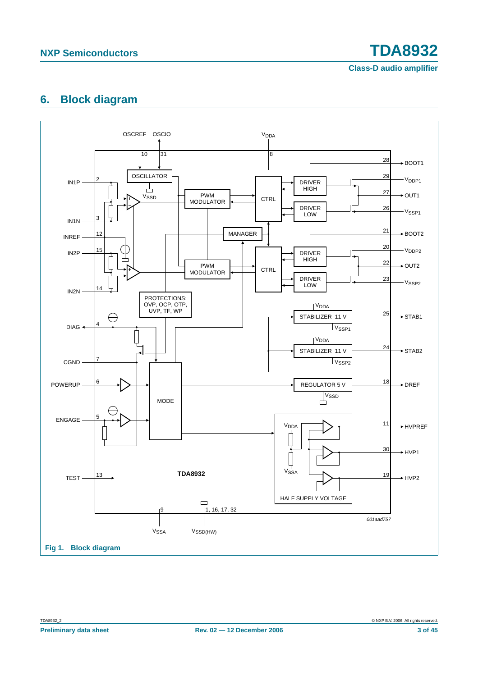# <span id="page-2-0"></span>**6. Block diagram**

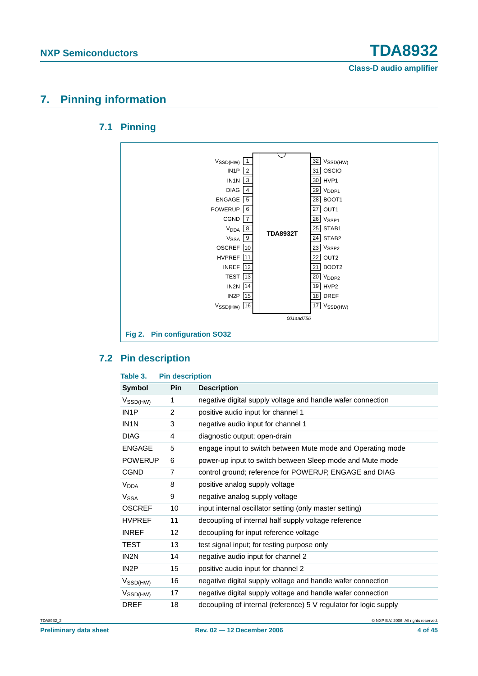# <span id="page-3-1"></span><span id="page-3-0"></span>**7. Pinning information**

### **7.1 Pinning**



### <span id="page-3-2"></span>**7.2 Pin description**

| Table 3.               | <b>Pin description</b> |                                                                   |
|------------------------|------------------------|-------------------------------------------------------------------|
| <b>Symbol</b>          | Pin                    | <b>Description</b>                                                |
| $V_{\text{SSD(HW)}}$   | 1                      | negative digital supply voltage and handle wafer connection       |
| IN <sub>1</sub> P      | $\overline{2}$         | positive audio input for channel 1                                |
| IN <sub>1</sub> N      | 3                      | negative audio input for channel 1                                |
| <b>DIAG</b>            | 4                      | diagnostic output; open-drain                                     |
| <b>ENGAGE</b>          | 5                      | engage input to switch between Mute mode and Operating mode       |
| <b>POWERUP</b>         | 6                      | power-up input to switch between Sleep mode and Mute mode         |
| <b>CGND</b>            | 7                      | control ground; reference for POWERUP, ENGAGE and DIAG            |
| <b>V<sub>DDA</sub></b> | 8                      | positive analog supply voltage                                    |
| V <sub>SSA</sub>       | 9                      | negative analog supply voltage                                    |
| <b>OSCREF</b>          | 10                     | input internal oscillator setting (only master setting)           |
| <b>HVPREF</b>          | 11                     | decoupling of internal half supply voltage reference              |
| <b>INREF</b>           | $12 \overline{ }$      | decoupling for input reference voltage                            |
| TEST                   | 13                     | test signal input; for testing purpose only                       |
| IN <sub>2</sub> N      | 14                     | negative audio input for channel 2                                |
| IN <sub>2</sub> P      | 15                     | positive audio input for channel 2                                |
| V <sub>SSD(HW)</sub>   | 16                     | negative digital supply voltage and handle wafer connection       |
| $V_{\text{SSD(HW)}}$   | 17                     | negative digital supply voltage and handle wafer connection       |
| <b>DREF</b>            | 18                     | decoupling of internal (reference) 5 V regulator for logic supply |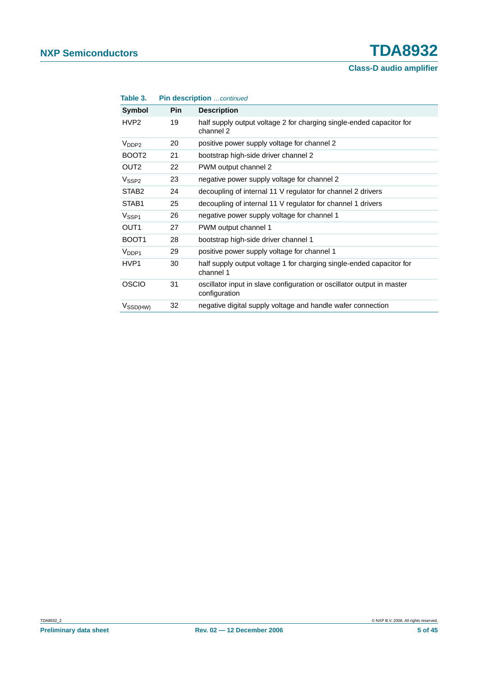| Table 3.             |            | <b>Pin description</b> continued                                                        |
|----------------------|------------|-----------------------------------------------------------------------------------------|
| Symbol               | <b>Pin</b> | <b>Description</b>                                                                      |
| HVP <sub>2</sub>     | 19         | half supply output voltage 2 for charging single-ended capacitor for<br>channel 2       |
| $V_{\text{DDP2}}$    | 20         | positive power supply voltage for channel 2                                             |
| BOOT <sub>2</sub>    | 21         | bootstrap high-side driver channel 2                                                    |
| OUT <sub>2</sub>     | 22         | PWM output channel 2                                                                    |
| V <sub>SSP2</sub>    | 23         | negative power supply voltage for channel 2                                             |
| STAB <sub>2</sub>    | 24         | decoupling of internal 11 V regulator for channel 2 drivers                             |
| STAB <sub>1</sub>    | 25         | decoupling of internal 11 V regulator for channel 1 drivers                             |
| V <sub>SSP1</sub>    | 26         | negative power supply voltage for channel 1                                             |
| OUT <sub>1</sub>     | 27         | PWM output channel 1                                                                    |
| BOOT <sub>1</sub>    | 28         | bootstrap high-side driver channel 1                                                    |
| V <sub>DDP1</sub>    | 29         | positive power supply voltage for channel 1                                             |
| HVP1                 | 30         | half supply output voltage 1 for charging single-ended capacitor for<br>channel 1       |
| OSCIO                | 31         | oscillator input in slave configuration or oscillator output in master<br>configuration |
| $V_{\text{SSD(HW)}}$ | 32         | negative digital supply voltage and handle wafer connection                             |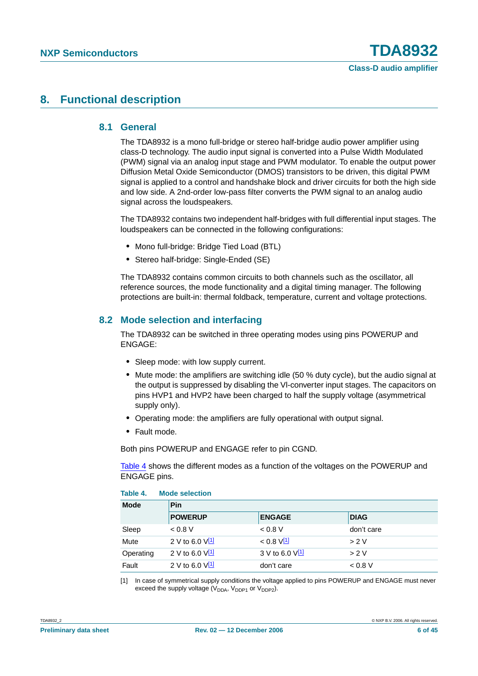## <span id="page-5-3"></span><span id="page-5-2"></span>**8. Functional description**

#### **8.1 General**

The TDA8932 is a mono full-bridge or stereo half-bridge audio power amplifier using class-D technology. The audio input signal is converted into a Pulse Width Modulated (PWM) signal via an analog input stage and PWM modulator. To enable the output power Diffusion Metal Oxide Semiconductor (DMOS) transistors to be driven, this digital PWM signal is applied to a control and handshake block and driver circuits for both the high side and low side. A 2nd-order low-pass filter converts the PWM signal to an analog audio signal across the loudspeakers.

The TDA8932 contains two independent half-bridges with full differential input stages. The loudspeakers can be connected in the following configurations:

- **•** Mono full-bridge: Bridge Tied Load (BTL)
- **•** Stereo half-bridge: Single-Ended (SE)

The TDA8932 contains common circuits to both channels such as the oscillator, all reference sources, the mode functionality and a digital timing manager. The following protections are built-in: thermal foldback, temperature, current and voltage protections.

#### <span id="page-5-4"></span>**8.2 Mode selection and interfacing**

The TDA8932 can be switched in three operating modes using pins POWERUP and ENGAGE:

- **•** Sleep mode: with low supply current.
- **•** Mute mode: the amplifiers are switching idle (50 % duty cycle), but the audio signal at the output is suppressed by disabling the Vl-converter input stages. The capacitors on pins HVP1 and HVP2 have been charged to half the supply voltage (asymmetrical supply only).
- **•** Operating mode: the amplifiers are fully operational with output signal.
- **•** Fault mode.

<span id="page-5-0"></span>**Table 4. Mode selection**

Both pins POWERUP and ENGAGE refer to pin CGND.

[Table](#page-5-0) 4 shows the different modes as a function of the voltages on the POWERUP and ENGAGE pins.

| <b>Mode</b> | <b>Pin</b>           |                          |             |  |  |  |
|-------------|----------------------|--------------------------|-------------|--|--|--|
|             | <b>POWERUP</b>       | <b>ENGAGE</b>            | <b>DIAG</b> |  |  |  |
| Sleep       | < 0.8 V              | 0.8 V                    | don't care  |  |  |  |
| Mute        | 2 V to 6.0 $V^{[1]}$ | $< 0.8$ V <sup>[1]</sup> | > 2V        |  |  |  |
| Operating   | 2 V to 6.0 $V^{[1]}$ | 3 V to 6.0 $V^{[1]}$     | > 2V        |  |  |  |
| Fault       | 2 V to 6.0 $V^{[1]}$ | don't care               | 0.8 V       |  |  |  |

<span id="page-5-1"></span>[1] In case of symmetrical supply conditions the voltage applied to pins POWERUP and ENGAGE must never exceed the supply voltage  $(V_{DDA}, V_{DDP1}$  or  $V_{DDP2}$ ).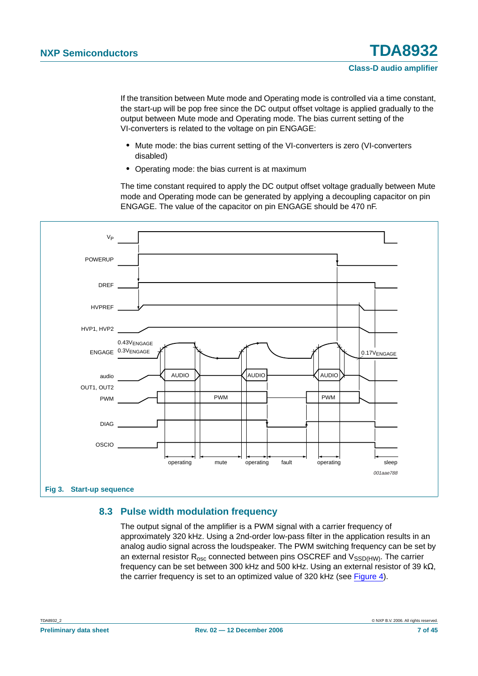If the transition between Mute mode and Operating mode is controlled via a time constant, the start-up will be pop free since the DC output offset voltage is applied gradually to the output between Mute mode and Operating mode. The bias current setting of the VI-converters is related to the voltage on pin ENGAGE:

- **•** Mute mode: the bias current setting of the VI-converters is zero (VI-converters disabled)
- **•** Operating mode: the bias current is at maximum

The time constant required to apply the DC output offset voltage gradually between Mute mode and Operating mode can be generated by applying a decoupling capacitor on pin ENGAGE. The value of the capacitor on pin ENGAGE should be 470 nF.



#### <span id="page-6-0"></span>**8.3 Pulse width modulation frequency**

The output signal of the amplifier is a PWM signal with a carrier frequency of approximately 320 kHz. Using a 2nd-order low-pass filter in the application results in an analog audio signal across the loudspeaker. The PWM switching frequency can be set by an external resistor  $R_{osc}$  connected between pins OSCREF and  $V_{SSD(HW)}$ . The carrier frequency can be set between 300 kHz and 500 kHz. Using an external resistor of 39 k $\Omega$ , the carrier frequency is set to an optimized value of 320 kHz (see [Figure](#page-7-0) 4).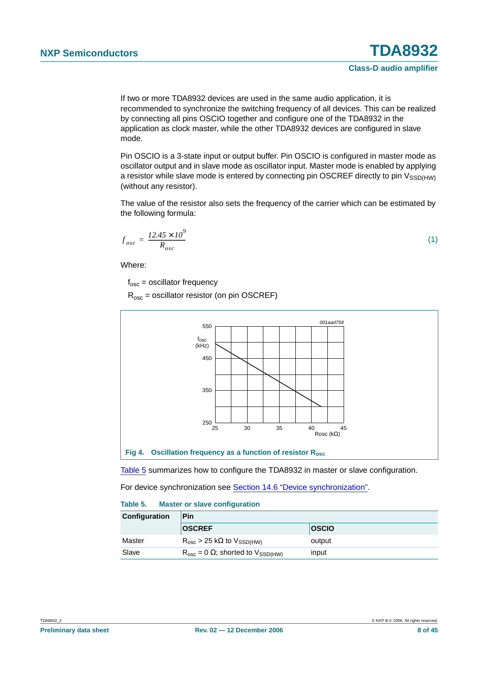If two or more TDA8932 devices are used in the same audio application, it is recommended to synchronize the switching frequency of all devices. This can be realized by connecting all pins OSCIO together and configure one of the TDA8932 in the application as clock master, while the other TDA8932 devices are configured in slave mode.

Pin OSCIO is a 3-state input or output buffer. Pin OSCIO is configured in master mode as oscillator output and in slave mode as oscillator input. Master mode is enabled by applying a resistor while slave mode is entered by connecting pin OSCREF directly to pin  $V_{SSD(HW)}$ (without any resistor).

The value of the resistor also sets the frequency of the carrier which can be estimated by the following formula:

$$
f_{osc} = \frac{12.45 \times 10^9}{R_{osc}} \tag{1}
$$

Where:

 $f_{osc}$  = oscillator frequency

 $R_{osc}$  = oscillator resistor (on pin OSCREF)



<span id="page-7-0"></span>[Table](#page-7-1) 5 summarizes how to configure the TDA8932 in master or slave configuration.

For device synchronization see [Section 14.6 "Device synchronization".](#page-26-0)

#### <span id="page-7-1"></span>**Table 5. Master or slave configuration**

| Configuration | Pin                                             |              |  |  |  |
|---------------|-------------------------------------------------|--------------|--|--|--|
|               | <b>OSCREF</b>                                   | <b>OSCIO</b> |  |  |  |
| Master        | $R_{osc}$ > 25 k $\Omega$ to $V_{SSD(HW)}$      | output       |  |  |  |
| Slave         | $R_{osc} = 0 \Omega$ ; shorted to $V_{SSD(HW)}$ | input        |  |  |  |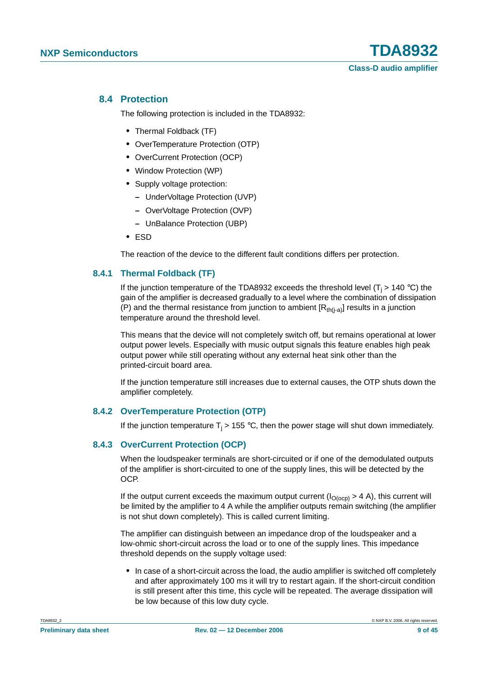#### <span id="page-8-0"></span>**8.4 Protection**

The following protection is included in the TDA8932:

- **•** Thermal Foldback (TF)
- **•** OverTemperature Protection (OTP)
- **•** OverCurrent Protection (OCP)
- **•** Window Protection (WP)
- **•** Supply voltage protection:
	- **–** UnderVoltage Protection (UVP)
	- **–** OverVoltage Protection (OVP)
	- **–** UnBalance Protection (UBP)
- **•** ESD

The reaction of the device to the different fault conditions differs per protection.

#### <span id="page-8-1"></span>**8.4.1 Thermal Foldback (TF)**

If the junction temperature of the TDA8932 exceeds the threshold level  $(T_i > 140 \degree C)$  the gain of the amplifier is decreased gradually to a level where the combination of dissipation (P) and the thermal resistance from junction to ambient  $[R<sub>th(i-a)</sub>]$  results in a junction temperature around the threshold level.

This means that the device will not completely switch off, but remains operational at lower output power levels. Especially with music output signals this feature enables high peak output power while still operating without any external heat sink other than the printed-circuit board area.

If the junction temperature still increases due to external causes, the OTP shuts down the amplifier completely.

#### <span id="page-8-2"></span>**8.4.2 OverTemperature Protection (OTP)**

If the junction temperature  $T_i > 155$  °C, then the power stage will shut down immediately.

#### <span id="page-8-3"></span>**8.4.3 OverCurrent Protection (OCP)**

When the loudspeaker terminals are short-circuited or if one of the demodulated outputs of the amplifier is short-circuited to one of the supply lines, this will be detected by the OCP.

If the output current exceeds the maximum output current  $(I<sub>O(ocp)</sub>) > 4$  A), this current will be limited by the amplifier to 4 A while the amplifier outputs remain switching (the amplifier is not shut down completely). This is called current limiting.

The amplifier can distinguish between an impedance drop of the loudspeaker and a low-ohmic short-circuit across the load or to one of the supply lines. This impedance threshold depends on the supply voltage used:

• In case of a short-circuit across the load, the audio amplifier is switched off completely and after approximately 100 ms it will try to restart again. If the short-circuit condition is still present after this time, this cycle will be repeated. The average dissipation will be low because of this low duty cycle.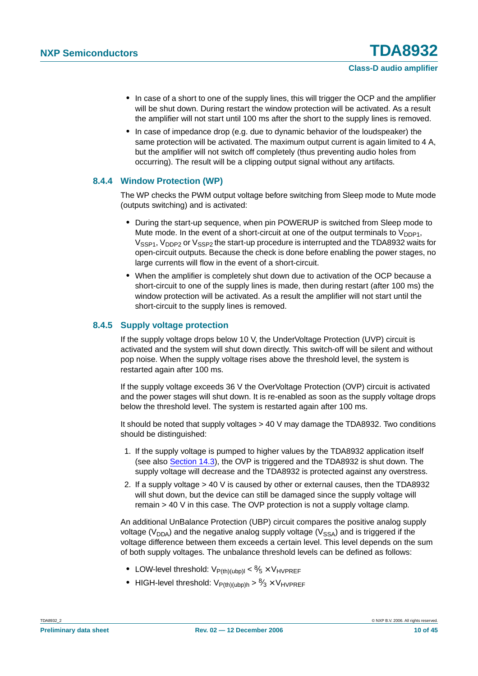- In case of a short to one of the supply lines, this will trigger the OCP and the amplifier will be shut down. During restart the window protection will be activated. As a result the amplifier will not start until 100 ms after the short to the supply lines is removed.
- **•** In case of impedance drop (e.g. due to dynamic behavior of the loudspeaker) the same protection will be activated. The maximum output current is again limited to 4 A, but the amplifier will not switch off completely (thus preventing audio holes from occurring). The result will be a clipping output signal without any artifacts.

#### <span id="page-9-0"></span>**8.4.4 Window Protection (WP)**

The WP checks the PWM output voltage before switching from Sleep mode to Mute mode (outputs switching) and is activated:

- **•** During the start-up sequence, when pin POWERUP is switched from Sleep mode to Mute mode. In the event of a short-circuit at one of the output terminals to  $V_{\text{DDP1}}$ , V<sub>SSP1</sub>, V<sub>DDP2</sub> or V<sub>SSP2</sub> the start-up procedure is interrupted and the TDA8932 waits for open-circuit outputs. Because the check is done before enabling the power stages, no large currents will flow in the event of a short-circuit.
- **•** When the amplifier is completely shut down due to activation of the OCP because a short-circuit to one of the supply lines is made, then during restart (after 100 ms) the window protection will be activated. As a result the amplifier will not start until the short-circuit to the supply lines is removed.

#### <span id="page-9-1"></span>**8.4.5 Supply voltage protection**

If the supply voltage drops below 10 V, the UnderVoltage Protection (UVP) circuit is activated and the system will shut down directly. This switch-off will be silent and without pop noise. When the supply voltage rises above the threshold level, the system is restarted again after 100 ms.

If the supply voltage exceeds 36 V the OverVoltage Protection (OVP) circuit is activated and the power stages will shut down. It is re-enabled as soon as the supply voltage drops below the threshold level. The system is restarted again after 100 ms.

It should be noted that supply voltages > 40 V may damage the TDA8932. Two conditions should be distinguished:

- 1. If the supply voltage is pumped to higher values by the TDA8932 application itself (see also [Section](#page-24-0) 14.3), the OVP is triggered and the TDA8932 is shut down. The supply voltage will decrease and the TDA8932 is protected against any overstress.
- 2. If a supply voltage > 40 V is caused by other or external causes, then the TDA8932 will shut down, but the device can still be damaged since the supply voltage will remain > 40 V in this case. The OVP protection is not a supply voltage clamp.

An additional UnBalance Protection (UBP) circuit compares the positive analog supply voltage ( $V_{\text{DDA}}$ ) and the negative analog supply voltage ( $V_{\text{SSA}}$ ) and is triggered if the voltage difference between them exceeds a certain level. This level depends on the sum of both supply voltages. The unbalance threshold levels can be defined as follows:

- $\bullet$  LOW-level threshold:  $V_{P(th)(ubp)|} < \frac{8}{5} \times V_{HVPREF}$
- $\bullet$  HIGH-level threshold:  $V_{P(th)(ubp)h} > \frac{8}{3} \times V_{HVPREF}$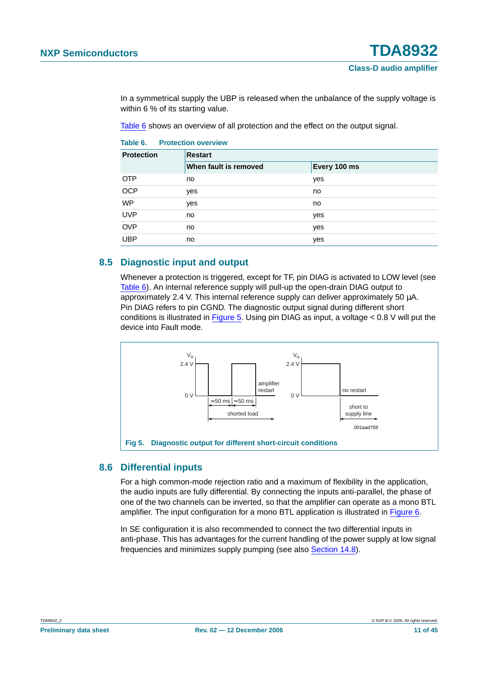In a symmetrical supply the UBP is released when the unbalance of the supply voltage is within 6 % of its starting value.

[Table](#page-10-0) 6 shows an overview of all protection and the effect on the output signal.

<span id="page-10-0"></span>

| Table 6. | <b>Protection overview</b> |  |
|----------|----------------------------|--|
|          |                            |  |

| <b>Protection</b> | <b>Restart</b>        |              |  |  |  |
|-------------------|-----------------------|--------------|--|--|--|
|                   | When fault is removed | Every 100 ms |  |  |  |
| <b>OTP</b>        | no                    | yes          |  |  |  |
| <b>OCP</b>        | yes                   | no           |  |  |  |
| <b>WP</b>         | yes                   | no           |  |  |  |
| <b>UVP</b>        | no                    | yes          |  |  |  |
| <b>OVP</b>        | no                    | yes          |  |  |  |
| <b>UBP</b>        | no                    | yes          |  |  |  |

#### <span id="page-10-2"></span>**8.5 Diagnostic input and output**

Whenever a protection is triggered, except for TF, pin DIAG is activated to LOW level (see [Table](#page-10-0) 6). An internal reference supply will pull-up the open-drain DIAG output to approximately 2.4 V. This internal reference supply can deliver approximately 50 µA. Pin DIAG refers to pin CGND. The diagnostic output signal during different short conditions is illustrated in [Figure](#page-10-1) 5. Using pin DIAG as input, a voltage  $< 0.8$  V will put the device into Fault mode.



#### <span id="page-10-3"></span><span id="page-10-1"></span>**8.6 Differential inputs**

For a high common-mode rejection ratio and a maximum of flexibility in the application, the audio inputs are fully differential. By connecting the inputs anti-parallel, the phase of one of the two channels can be inverted, so that the amplifier can operate as a mono BTL amplifier. The input configuration for a mono BTL application is illustrated in [Figure](#page-11-0) 6.

In SE configuration it is also recommended to connect the two differential inputs in anti-phase. This has advantages for the current handling of the power supply at low signal frequencies and minimizes supply pumping (see also [Section](#page-28-0) 14.8).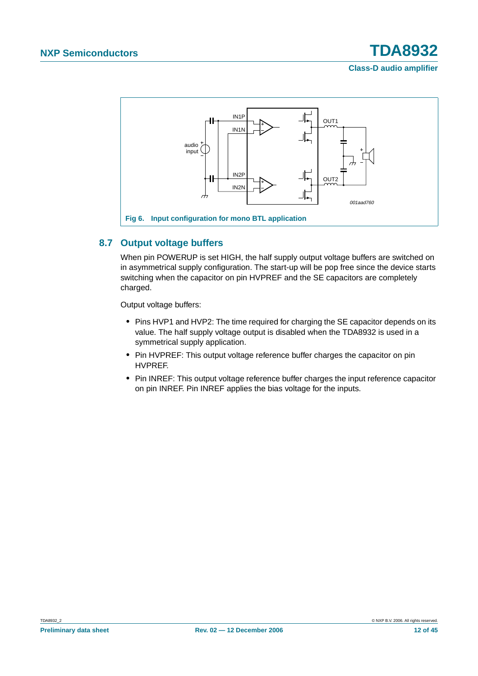

### <span id="page-11-1"></span><span id="page-11-0"></span>**8.7 Output voltage buffers**

When pin POWERUP is set HIGH, the half supply output voltage buffers are switched on in asymmetrical supply configuration. The start-up will be pop free since the device starts switching when the capacitor on pin HVPREF and the SE capacitors are completely charged.

Output voltage buffers:

- **•** Pins HVP1 and HVP2: The time required for charging the SE capacitor depends on its value. The half supply voltage output is disabled when the TDA8932 is used in a symmetrical supply application.
- **•** Pin HVPREF: This output voltage reference buffer charges the capacitor on pin HVPREF.
- **•** Pin INREF: This output voltage reference buffer charges the input reference capacitor on pin INREF. Pin INREF applies the bias voltage for the inputs.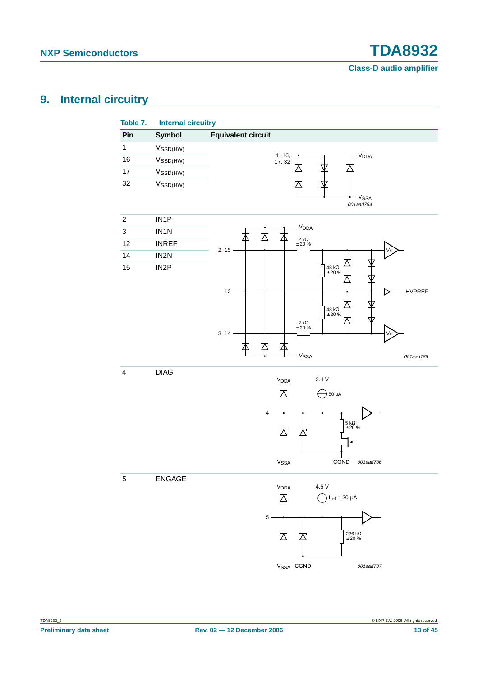# <span id="page-12-0"></span>**9. Internal circuitry**

| Pin                     | <b>Symbol</b>        | <b>Equivalent circuit</b>                                             |
|-------------------------|----------------------|-----------------------------------------------------------------------|
| $\mathbf 1$             | $V_{\text{SSD(HW)}}$ |                                                                       |
| 16                      | V <sub>SSD(HW)</sub> | $1, 16,$<br>17, 32<br>V <sub>DDA</sub>                                |
| $17\,$                  | $V_{\text{SSD(HW)}}$ |                                                                       |
| 32                      | $V_{\text{SSD(HW)}}$ |                                                                       |
|                         |                      | - V <sub>SSA</sub><br>001aad784                                       |
| $\boldsymbol{2}$        | IN1P                 |                                                                       |
| $\mathbf{3}$            | IN1N                 | V <sub>DDA</sub>                                                      |
| 12                      | <b>INREF</b>         | 本<br>Δ<br>∧<br>$2 k\Omega$<br>$\pm 20 \%$                             |
| 14                      | IN2N                 | $2, 15 \cdot$                                                         |
| 15                      | IN <sub>2</sub> P    | $\begin{array}{l} 48 \; \mathrm{k}\Omega \\ \pm 20 \; \% \end{array}$ |
|                         |                      |                                                                       |
|                         |                      | HVPREF<br>$12 -$<br>ÐI                                                |
|                         |                      |                                                                       |
|                         |                      | $\begin{array}{l} 48 \; \text{k}\Omega \\ \pm 20 \; \% \end{array}$   |
|                         |                      | $\begin{array}{l} 2\;k\Omega\\ \pm\;20\;\% \end{array}$<br>3, 14      |
|                         |                      | 本<br>本                                                                |
|                         |                      | V <sub>SSA</sub><br>001aad785                                         |
| $\overline{\mathbf{4}}$ | <b>DIAG</b>          |                                                                       |
|                         |                      | 2.4V<br>V <sub>DDA</sub>                                              |
|                         |                      | $50 \mu A$                                                            |
|                         |                      |                                                                       |
|                         |                      | 4                                                                     |
|                         |                      | $\frac{5 k\Omega}{\pm 20 \%}$                                         |
|                         |                      |                                                                       |
|                         |                      |                                                                       |
|                         |                      | V <sub>SSA</sub><br>CGND<br>001aad786                                 |
| 5                       | ENGAGE               |                                                                       |
|                         |                      | 4.6 V<br>V <sub>DDA</sub>                                             |
|                         |                      | 本<br>$I_{ref} = 20 \mu A$                                             |
|                         |                      | $5 -$                                                                 |
|                         |                      |                                                                       |
|                         |                      | ${226\ \text{k}\Omega\atop\pm\ 20}$ %<br>本<br>丕                       |
|                         |                      |                                                                       |

V<sub>SSA</sub> CGND

001aad787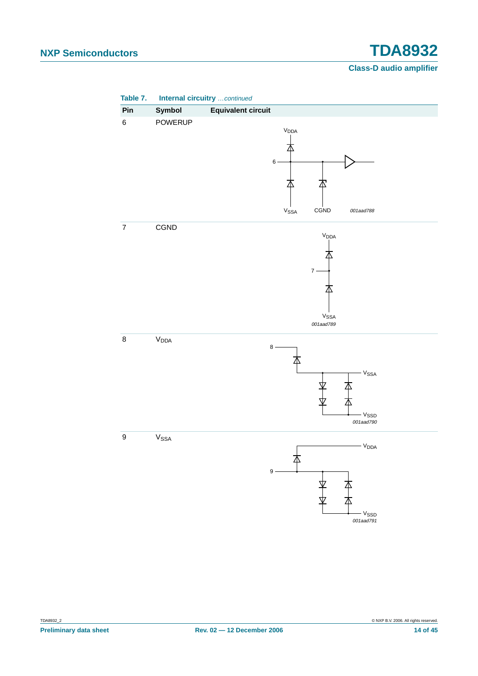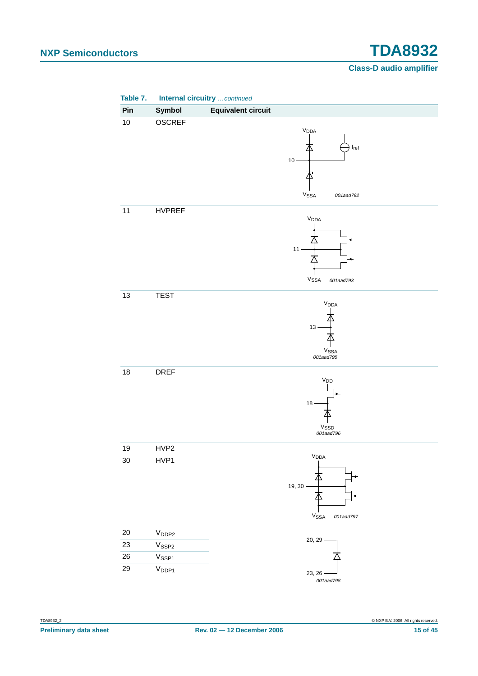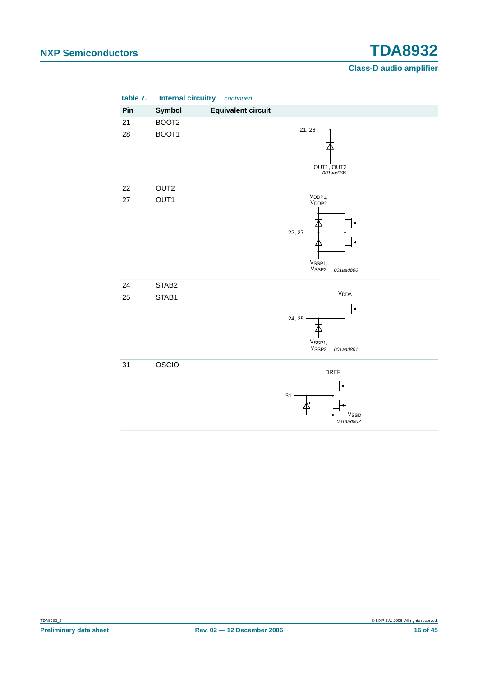| Table 7. | Internal circuitry continued |                                                                                                             |
|----------|------------------------------|-------------------------------------------------------------------------------------------------------------|
| Pin      | Symbol                       | <b>Equivalent circuit</b>                                                                                   |
| 21       | BOOT <sub>2</sub>            |                                                                                                             |
| 28       | BOOT1                        | $21, 28 -$<br>OUT1, OUT2<br>001aad799                                                                       |
| 22       | OUT <sub>2</sub>             |                                                                                                             |
| 27       | OUT1                         | V <sub>DDP1</sub> ,<br>$V_{\text{DDP2}}$<br>22, 27<br>V <sub>SSP1</sub> ,<br>V <sub>SSP2</sub><br>001aad800 |
| 24       | STAB2                        |                                                                                                             |
| 25       | STAB1                        | V <sub>DDA</sub><br>24, 25<br>V <sub>SSP1,</sub><br>V <sub>SSP2</sub><br>001aad801                          |
| 31       | OSCIO                        | <b>DREF</b><br>$31 -$<br>V <sub>SSD</sub><br>001aad802                                                      |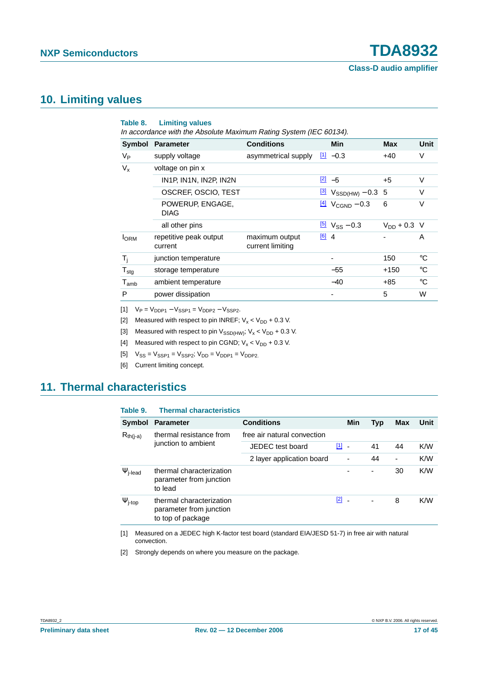## <span id="page-16-9"></span>**10. Limiting values**

|                  | <b>Symbol Parameter</b>           | <b>Conditions</b>                        |         | Min                                        | <b>Max</b>       | Unit        |
|------------------|-----------------------------------|------------------------------------------|---------|--------------------------------------------|------------------|-------------|
| V <sub>Р</sub>   | supply voltage                    | asymmetrical supply $\frac{[1]}{2}$ -0.3 |         |                                            | $+40$            | V           |
| $V_{x}$          | voltage on pin x                  |                                          |         |                                            |                  |             |
|                  | IN1P, IN1N, IN2P, IN2N            |                                          |         | $\boxed{2}$ -5                             | $+5$             | V           |
|                  | OSCREF, OSCIO, TEST               |                                          |         | $\frac{3}{2}$ V <sub>SSD(HW)</sub> – 0.3 5 |                  | V           |
|                  | POWERUP, ENGAGE,<br><b>DIAG</b>   |                                          |         | $\frac{[4]}{2}$ V <sub>CGND</sub> – 0.3    | 6                | $\vee$      |
|                  | all other pins                    |                                          |         | $\frac{5}{2}$ V <sub>SS</sub> – 0.3        | $V_{DD} + 0.3$ V |             |
| <b>I</b> ORM     | repetitive peak output<br>current | maximum output<br>current limiting       | $[6]$ 4 |                                            |                  | A           |
| $T_i$            | junction temperature              |                                          |         |                                            | 150              | °C          |
| $T_{\text{stg}}$ | storage temperature               |                                          |         | $-55$                                      | $+150$           | $^{\circ}C$ |
| $T_{amb}$        | ambient temperature               |                                          |         | $-40$                                      | $+85$            | °C          |
| P                | power dissipation                 |                                          |         |                                            | 5                | W           |

<span id="page-16-0"></span> $[V_P = V_{DDP1} - V_{SSP1} = V_{DDP2} - V_{SSP2}].$ 

<span id="page-16-1"></span>[2] Measured with respect to pin INREF;  $V_x < V_{DD} + 0.3$  V.

<span id="page-16-2"></span>[3] Measured with respect to pin  $V_{\text{SSD(HW)}}$ ;  $V_x < V_{\text{DD}} + 0.3$  V.

<span id="page-16-3"></span>[4] Measured with respect to pin CGND;  $V_x < V_{DD} + 0.3$  V.

<span id="page-16-4"></span> $[V_{SS} = V_{SSP1} = V_{SSP2}; V_{DD} = V_{DDP1} = V_{DDP2}$ .

<span id="page-16-5"></span>[6] Current limiting concept.

# <span id="page-16-10"></span>**11. Thermal characteristics**

<span id="page-16-8"></span>

| Table 9.                 | <b>Thermal characteristics</b>                                           |                             |               |                |            |     |      |
|--------------------------|--------------------------------------------------------------------------|-----------------------------|---------------|----------------|------------|-----|------|
| <b>Symbol</b>            | <b>Parameter</b>                                                         | <b>Conditions</b>           |               | Min            | <b>Typ</b> | Max | Unit |
| $R_{th(j-a)}$            | thermal resistance from<br>junction to ambient                           | free air natural convection |               |                |            |     |      |
|                          |                                                                          | JEDEC test board            | $\boxed{1}$ . |                | 41         | 44  | K/W  |
|                          |                                                                          | 2 layer application board   |               | $\blacksquare$ | 44         | ٠   | K/W  |
| $\Psi$ <sub>j-lead</sub> | thermal characterization<br>parameter from junction<br>to lead           |                             |               |                | ٠          | 30  | K/W  |
| $\Psi$ <sub>j-top</sub>  | thermal characterization<br>parameter from junction<br>to top of package |                             | $\boxed{2}$ - |                | ٠          | 8   | K/W  |

<span id="page-16-6"></span>[1] Measured on a JEDEC high K-factor test board (standard EIA/JESD 51-7) in free air with natural convection.

<span id="page-16-7"></span>[2] Strongly depends on where you measure on the package.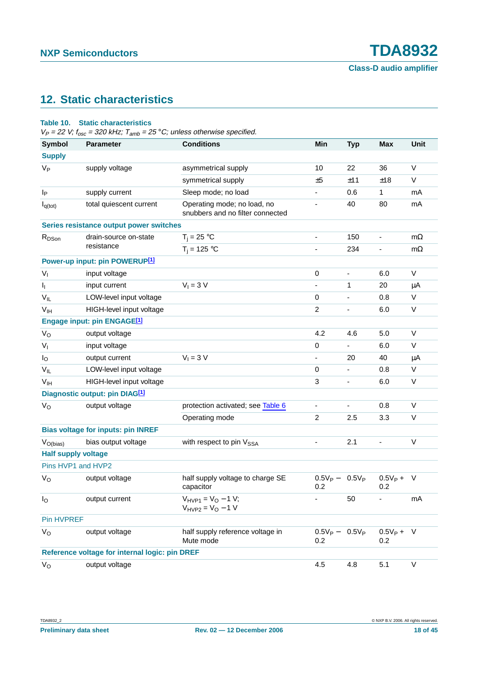# <span id="page-17-0"></span>**12. Static characteristics**

#### **Table 10. Static characteristics**

 $V_P = 22$  V;  $f_{osc} = 320$  kHz;  $T_{amb} = 25$  °C; unless otherwise specified.

| <b>Symbol</b>              | <b>Parameter</b>                               | <b>Conditions</b>                                               | Min               | <b>Typ</b>               | <b>Max</b>            | <b>Unit</b> |
|----------------------------|------------------------------------------------|-----------------------------------------------------------------|-------------------|--------------------------|-----------------------|-------------|
| <b>Supply</b>              |                                                |                                                                 |                   |                          |                       |             |
| $V_{P}$                    | supply voltage                                 | asymmetrical supply                                             | 10                | 22                       | 36                    | V           |
|                            |                                                | symmetrical supply                                              | ±5                | ±11                      | ±18                   | $\vee$      |
| Ιp                         | supply current                                 | Sleep mode; no load                                             | $\blacksquare$    | 0.6                      | 1                     | mA          |
| $I_{q(tot)}$               | total quiescent current                        | Operating mode; no load, no<br>snubbers and no filter connected |                   | 40                       | 80                    | mA          |
|                            | Series resistance output power switches        |                                                                 |                   |                          |                       |             |
| R <sub>DSon</sub>          | drain-source on-state                          | $T_i = 25 °C$                                                   | ۰.                | 150                      | $\blacksquare$        | $m\Omega$   |
|                            | resistance                                     | $T_i = 125 °C$                                                  |                   | 234                      |                       | $m\Omega$   |
|                            | Power-up input: pin POWERUP[1]                 |                                                                 |                   |                          |                       |             |
| $V_{I}$                    | input voltage                                  |                                                                 | $\mathbf 0$       | $\blacksquare$           | 6.0                   | V           |
| ı,                         | input current                                  | $V_1 = 3 V$                                                     | $\blacksquare$    | 1                        | 20                    | μA          |
| $V_{IL}$                   | LOW-level input voltage                        |                                                                 | 0                 |                          | 0.8                   | V           |
| V <sub>IH</sub>            | HIGH-level input voltage                       |                                                                 | $\overline{c}$    | $\blacksquare$           | 6.0                   | V           |
|                            | Engage input: pin ENGAGE[1]                    |                                                                 |                   |                          |                       |             |
| $V_{\rm O}$                | output voltage                                 |                                                                 | 4.2               | 4.6                      | 5.0                   | V           |
| $V_{I}$                    | input voltage                                  |                                                                 | 0                 |                          | 6.0                   | V           |
| $I_{\rm O}$                | output current                                 | $V_1 = 3 V$                                                     | $\blacksquare$    | 20                       | 40                    | μA          |
| $V_{IL}$                   | LOW-level input voltage                        |                                                                 | 0                 | $\overline{\phantom{0}}$ | 0.8                   | $\mathsf V$ |
| V <sub>IH</sub>            | HIGH-level input voltage                       |                                                                 | 3                 | -                        | 6.0                   | V           |
|                            | Diagnostic output: pin DIAG <sup>[1]</sup>     |                                                                 |                   |                          |                       |             |
| $V_{\rm O}$                | output voltage                                 | protection activated; see Table 6                               | $\blacksquare$    | ÷.                       | 0.8                   | V           |
|                            |                                                | Operating mode                                                  | 2                 | 2.5                      | 3.3                   | V           |
|                            | <b>Bias voltage for inputs: pin INREF</b>      |                                                                 |                   |                          |                       |             |
| $V_{O(bias)}$              | bias output voltage                            | with respect to pin V <sub>SSA</sub>                            |                   | 2.1                      |                       | V           |
| <b>Half supply voltage</b> |                                                |                                                                 |                   |                          |                       |             |
| Pins HVP1 and HVP2         |                                                |                                                                 |                   |                          |                       |             |
| $V_{\rm O}$                | output voltage                                 | half supply voltage to charge SE<br>capacitor                   | $0.5V_P -$<br>0.2 | $0.5V_P$                 | $0.5V_P +$<br>0.2     | $\vee$      |
| $I_{\rm O}$                | output current                                 | $V_{HVP1} = V_O - 1 V;$<br>$V_{HVP2} = V_0 - 1 V$               |                   | 50                       |                       | mA          |
| Pin HVPREF                 |                                                |                                                                 |                   |                          |                       |             |
| $V_{\rm O}$                | output voltage                                 | half supply reference voltage in<br>Mute mode                   | $0.5V_P -$<br>0.2 | $0.5V_P$                 | $0.5V_{P} + V$<br>0.2 |             |
|                            | Reference voltage for internal logic: pin DREF |                                                                 |                   |                          |                       |             |
| $V_{\rm O}$                | output voltage                                 |                                                                 | 4.5               | 4.8                      | 5.1                   | V           |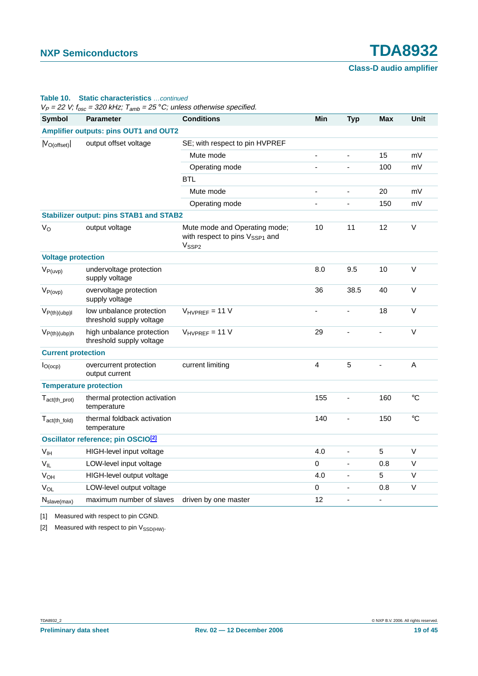#### **Table 10. Static characteristics** …continued

 $V_P = 22$  V;  $f_{\text{osc}} = 320$  kHz;  $T_{\text{amb}} = 25$  °C; unless otherwise specified.

| ,, , osc<br><b>Symbol</b>      | <b>Parameter</b>                                      | <b>Conditions</b>                                                                                | Min | <b>Typ</b> | <b>Max</b> | Unit         |
|--------------------------------|-------------------------------------------------------|--------------------------------------------------------------------------------------------------|-----|------------|------------|--------------|
|                                | Amplifier outputs: pins OUT1 and OUT2                 |                                                                                                  |     |            |            |              |
| $ V_{O{\text{(offset)}}} $     | output offset voltage                                 | SE; with respect to pin HVPREF                                                                   |     |            |            |              |
|                                |                                                       | Mute mode                                                                                        | L,  | ÷,         | 15         | mV           |
|                                |                                                       | Operating mode                                                                                   |     |            | 100        | mV           |
|                                |                                                       | <b>BTL</b>                                                                                       |     |            |            |              |
|                                |                                                       | Mute mode                                                                                        | L,  |            | 20         | mV           |
|                                |                                                       | Operating mode                                                                                   |     |            | 150        | mV           |
|                                | <b>Stabilizer output: pins STAB1 and STAB2</b>        |                                                                                                  |     |            |            |              |
| $V_{\rm O}$                    | output voltage                                        | Mute mode and Operating mode;<br>with respect to pins V <sub>SSP1</sub> and<br>V <sub>SSP2</sub> | 10  | 11         | 12         | $\vee$       |
| <b>Voltage protection</b>      |                                                       |                                                                                                  |     |            |            |              |
| $V_{P(uvp)}$                   | undervoltage protection<br>supply voltage             |                                                                                                  | 8.0 | 9.5        | 10         | $\vee$       |
| $V_{P(ovp)}$                   | overvoltage protection<br>supply voltage              |                                                                                                  | 36  | 38.5       | 40         | $\sf V$      |
| $V_{P(th)(ubp)I}$              | low unbalance protection<br>threshold supply voltage  | $V_{HVPREF}$ = 11 V                                                                              |     |            | 18         | V            |
| $V_{P(th)(ubp)h}$              | high unbalance protection<br>threshold supply voltage | $V_{HVPREF}$ = 11 V                                                                              | 29  |            |            | $\vee$       |
| <b>Current protection</b>      |                                                       |                                                                                                  |     |            |            |              |
| $I_{O(0CP)}$                   | overcurrent protection<br>output current              | current limiting                                                                                 | 4   | 5          |            | $\mathsf{A}$ |
|                                | <b>Temperature protection</b>                         |                                                                                                  |     |            |            |              |
| $T_{act(th\_prot)}$            | thermal protection activation<br>temperature          |                                                                                                  | 155 |            | 160        | $\circ$ C    |
| $T_{act(th_fold)}$             | thermal foldback activation<br>temperature            |                                                                                                  | 140 |            | 150        | $^{\circ}C$  |
|                                | Oscillator reference; pin OSCIO <sup>[2]</sup>        |                                                                                                  |     |            |            |              |
| V <sub>IH</sub>                | HIGH-level input voltage                              |                                                                                                  | 4.0 | L.         | 5          | V            |
| $V_{IL}$                       | LOW-level input voltage                               |                                                                                                  | 0   |            | 0.8        | $\vee$       |
| V <sub>OH</sub>                | HIGH-level output voltage                             |                                                                                                  | 4.0 |            | 5          | $\mathsf V$  |
| $V_{OL}$                       | LOW-level output voltage                              |                                                                                                  | 0   |            | 0.8        | $\mathsf V$  |
| $N_{\text{slave}(\text{max})}$ | maximum number of slaves                              | driven by one master                                                                             | 12  |            | ä,         |              |

<span id="page-18-0"></span>[1] Measured with respect to pin CGND.

<span id="page-18-1"></span>[2] Measured with respect to pin  $V_{\text{SSD(HW)}}$ .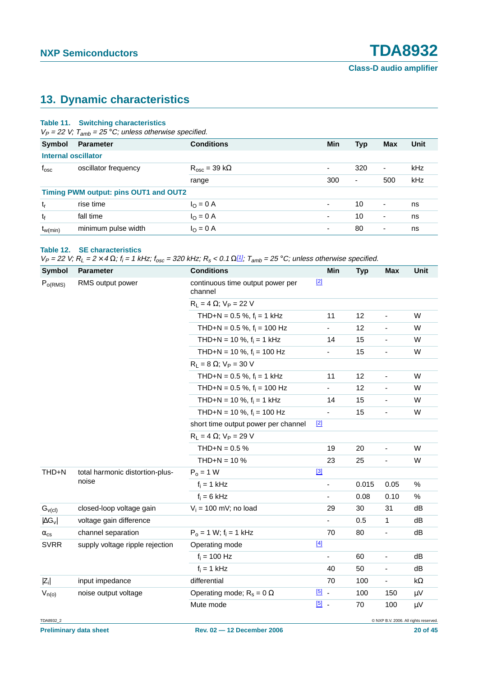# <span id="page-19-0"></span>**13. Dynamic characteristics**

#### **Table 11. Switching characteristics**

 $V_P = 22$  V;  $T_{amb} = 25$  °C; unless otherwise specified.

| Symbol        | <b>Parameter</b>                      | <b>Conditions</b>         | Min                      | <b>Typ</b> | <b>Max</b>               | Unit |  |  |
|---------------|---------------------------------------|---------------------------|--------------------------|------------|--------------------------|------|--|--|
|               | <b>Internal oscillator</b>            |                           |                          |            |                          |      |  |  |
| $f_{\rm osc}$ | oscillator frequency                  | $R_{osc}$ = 39 k $\Omega$ | $\overline{\phantom{0}}$ | 320        | $\overline{\phantom{a}}$ | kHz  |  |  |
|               |                                       | range                     | 300                      | ٠          | 500                      | kHz  |  |  |
|               | Timing PWM output: pins OUT1 and OUT2 |                           |                          |            |                          |      |  |  |
| $t_{r}$       | rise time                             | $I_{\rm O} = 0$ A         | $\blacksquare$           | 10         | $\overline{\phantom{a}}$ | ns   |  |  |
| tf            | fall time                             | $I_{\rm O} = 0$ A         | ۰                        | 10         | ٠                        | ns   |  |  |
| $t_{w(min)}$  | minimum pulse width                   | $I_{\rm O} = 0$ A         | $\overline{\phantom{0}}$ | 80         | $\overline{\phantom{a}}$ | ns   |  |  |

#### **Table 12. SE characteristics**

 $V_P = 22$  V;  $R_L = 2 \times 4 \Omega$ ;  $f_i = 1$  kHz;  $f_{osc} = 320$  kHz;  $R_s < 0.1 \Omega^{[1]}$  $R_s < 0.1 \Omega^{[1]}$  $R_s < 0.1 \Omega^{[1]}$ ;  $T_{amb} = 25$  °C; unless otherwise specified.

| <b>Symbol</b>        | <b>Parameter</b>                         | <b>Conditions</b>                           | Min                      | <b>Typ</b> | <b>Max</b>                   | Unit       |
|----------------------|------------------------------------------|---------------------------------------------|--------------------------|------------|------------------------------|------------|
| $P_{o(RMS)}$         | RMS output power                         | continuous time output power per<br>channel | $[2]$                    |            |                              |            |
|                      |                                          | $R_L = 4 \Omega$ ; $V_P = 22 V$             |                          |            |                              |            |
|                      |                                          | THD+N = $0.5 \%$ , $f_i = 1$ kHz            | 11                       | 12         | $\blacksquare$               | W          |
|                      |                                          | THD+N = $0.5 \%$ , $f_i = 100 Hz$           | $\blacksquare$           | 12         | $\qquad \qquad \blacksquare$ | W          |
|                      |                                          | THD+N = 10 %, $f_i$ = 1 kHz                 | 14                       | 15         | $\qquad \qquad \blacksquare$ | W          |
|                      |                                          | THD+N = 10 %, $f_i$ = 100 Hz                | $\blacksquare$           | 15         | $\blacksquare$               | W          |
|                      |                                          | $R_L = 8 \Omega$ ; $V_P = 30 V$             |                          |            |                              |            |
|                      |                                          | THD+N = $0.5 \%$ , $f_i = 1$ kHz            | 11                       | 12         | $\blacksquare$               | W          |
|                      |                                          | THD+N = $0.5 \%$ , $f_i = 100 Hz$           | $\blacksquare$           | 12         | $\blacksquare$               | W          |
|                      |                                          | THD+N = 10 %, $f_i$ = 1 kHz                 | 14                       | 15         | $\qquad \qquad \blacksquare$ | W          |
|                      |                                          | THD+N = 10 %, $f_i$ = 100 Hz                | $\blacksquare$           | 15         | $\blacksquare$               | W          |
|                      |                                          | short time output power per channel         | $[2]$                    |            |                              |            |
|                      |                                          | $R_L = 4 \Omega$ ; $V_P = 29 V$             |                          |            |                              |            |
|                      |                                          | THD+N = $0.5 \%$                            | 19                       | 20         | $\blacksquare$               | W          |
|                      |                                          | THD+N = $10\%$                              | 23                       | 25         | $\blacksquare$               | W          |
| THD+N                | total harmonic distortion-plus-<br>noise | $P_0 = 1 W$                                 | $[3]$                    |            |                              |            |
|                      |                                          | $f_i = 1$ kHz                               | ÷,                       | 0.015      | 0.05                         | $\%$       |
|                      |                                          | $f_i = 6$ kHz                               | ٠                        | 0.08       | 0.10                         | %          |
| $G_{\nu(cl)}$        | closed-loop voltage gain                 | $V_i = 100$ mV; no load                     | 29                       | 30         | 31                           | dB         |
| $ \Delta G_{\rm V} $ | voltage gain difference                  |                                             | ÷,                       | 0.5        | 1                            | dB         |
| $\alpha_{\rm cs}$    | channel separation                       | $P_0 = 1 W$ ; $f_i = 1 kHz$                 | 70                       | 80         | $\blacksquare$               | dB         |
| <b>SVRR</b>          | supply voltage ripple rejection          | Operating mode                              | $[4]$                    |            |                              |            |
|                      |                                          | $f_i = 100$ Hz                              | $\overline{\phantom{a}}$ | 60         | $\overline{\phantom{0}}$     | dB         |
|                      |                                          | $f_i = 1$ kHz                               | 40                       | 50         | $\blacksquare$               | dB         |
| $ Z_i $              | input impedance                          | differential                                | 70                       | 100        | $\blacksquare$               | k $\Omega$ |
| $V_{n(o)}$           | noise output voltage                     | Operating mode; $R_s = 0 \Omega$            | $\boxed{5}$ .            | 100        | 150                          | $\mu$ V    |
|                      |                                          | Mute mode                                   | $[5]$ .                  | 70         | 100                          | $\mu V$    |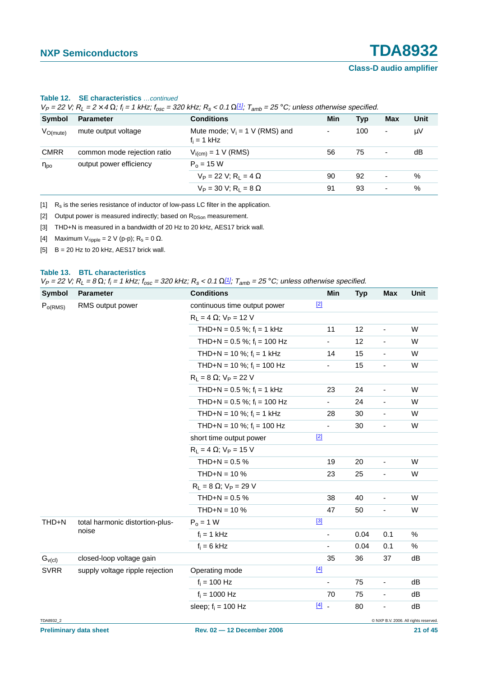| $V_P = Z Z V$ , $K_I = Z \times 4 \Omega$ , $I_i = T K H Z$ , $I_{osc} = 3 Z U K H Z$ , $K_S < 0.1 \Omega L T$ , $I_{amb} = Z S^{\circ} C$ , unless otherwise specified. |                             |                                                   |     |     |                          |      |
|--------------------------------------------------------------------------------------------------------------------------------------------------------------------------|-----------------------------|---------------------------------------------------|-----|-----|--------------------------|------|
| Symbol                                                                                                                                                                   | <b>Parameter</b>            | <b>Conditions</b>                                 | Min | Typ | Max                      | Unit |
| $V_{O(mute)}$                                                                                                                                                            | mute output voltage         | Mute mode; $V_i = 1$ V (RMS) and<br>$f_i = 1$ kHz |     | 100 | ٠                        | μV   |
| <b>CMRR</b>                                                                                                                                                              | common mode rejection ratio | $V_{i(cm)} = 1 V (RMS)$                           | 56  | 75  | ٠                        | dB   |
| $\eta_{\mathsf{po}}$                                                                                                                                                     | output power efficiency     | $P_0 = 15 W$                                      |     |     |                          |      |
|                                                                                                                                                                          |                             | $V_P = 22 V$ ; R <sub>1</sub> = 4 $\Omega$        | 90  | 92  | ٠                        | %    |
|                                                                                                                                                                          |                             | $V_P = 30 V$ ; R <sub>1</sub> = 8 $\Omega$        | 91  | 93  | $\overline{\phantom{0}}$ | %    |

# **Table 12. SE characteristics** …*continued*<br> $V = 23V(B - 2 \times 4 \text{O} \cdot f - 4 \text{kHz} \cdot f = 27$

 $\frac{22}{220}$  kHz; R  $>$  0.1 Q[1]; T = 25 °C; unless otherwise specified.

<span id="page-20-0"></span> $\begin{bmatrix} 1 \end{bmatrix}$  R<sub>s</sub> is the series resistance of inductor of low-pass LC filter in the application.

<span id="page-20-1"></span>[2] Output power is measured indirectly; based on  $R_{DSon}$  measurement.

<span id="page-20-2"></span>[3] THD+N is measured in a bandwidth of 20 Hz to 20 kHz, AES17 brick wall.

<span id="page-20-3"></span>[4] Maximum V<sub>ripple</sub> = 2 V (p-p); R<sub>s</sub> = 0  $\Omega$ .

<span id="page-20-4"></span> $[5]$  B = 20 Hz to 20 kHz, AES17 brick wall.

#### **Table 13. BTL characteristics**

 $V_P = 22$  V;  $R_L = 8 \Omega$ ;  $f_i = 1$  kHz;  $f_{osc} = 320$  kHz;  $R_s < 0.1 \Omega^{[1]}$  $R_s < 0.1 \Omega^{[1]}$  $R_s < 0.1 \Omega^{[1]}$ ;  $T_{amb} = 25$  °C; unless otherwise specified.

| <b>Symbol</b>       | <b>Parameter</b>                | <b>Conditions</b>                 | Min                      | <b>Typ</b> | <b>Max</b>                   | Unit                                  |
|---------------------|---------------------------------|-----------------------------------|--------------------------|------------|------------------------------|---------------------------------------|
| P <sub>o(RMS)</sub> | RMS output power                | continuous time output power      | $[2]$                    |            |                              |                                       |
|                     |                                 | $R_L = 4 \Omega$ ; $V_P = 12 V$   |                          |            |                              |                                       |
|                     |                                 | THD+N = 0.5 %; $f_i$ = 1 kHz      | 11                       | 12         | $\overline{\phantom{a}}$     | W                                     |
|                     |                                 | THD+N = $0.5 \%$ ; $f_i = 100 Hz$ | ÷                        | 12         | $\blacksquare$               | W                                     |
|                     |                                 | THD+N = 10 %; $f_i$ = 1 kHz       | 14                       | 15         | $\overline{\phantom{a}}$     | W                                     |
|                     |                                 | THD+N = 10 %; $f_i$ = 100 Hz      | ۰.                       | 15         | $\qquad \qquad \blacksquare$ | W                                     |
|                     |                                 | $R_L = 8 \Omega$ ; $V_P = 22 V$   |                          |            |                              |                                       |
|                     |                                 | THD+N = 0.5 %; $f_i = 1$ kHz      | 23                       | 24         | $\blacksquare$               | W                                     |
|                     |                                 | THD+N = 0.5 %; $f_i$ = 100 Hz     | ۰                        | 24         | $\qquad \qquad \blacksquare$ | W                                     |
|                     |                                 | THD+N = 10 %; $f_i = 1$ kHz       | 28                       | 30         | $\blacksquare$               | W                                     |
|                     |                                 | THD+N = 10 %; $f_i$ = 100 Hz      | ÷,                       | 30         | $\blacksquare$               | W                                     |
|                     |                                 | short time output power           | $[2]$                    |            |                              |                                       |
|                     |                                 | $R_L = 4 \Omega$ ; $V_P = 15 V$   |                          |            |                              |                                       |
|                     |                                 | THD+N = $0.5\%$                   | 19                       | 20         | $\blacksquare$               | W                                     |
|                     |                                 | THD+N = $10\%$                    | 23                       | 25         | $\overline{\phantom{a}}$     | W                                     |
|                     |                                 | $R_L = 8 \Omega$ ; $V_P = 29 V$   |                          |            |                              |                                       |
|                     |                                 | THD+N = $0.5%$                    | 38                       | 40         | $\blacksquare$               | W                                     |
|                     |                                 | THD+N = $10\%$                    | 47                       | 50         | $\qquad \qquad \blacksquare$ | W                                     |
| THD+N               | total harmonic distortion-plus- | $P_0 = 1 W$                       | $[3]$                    |            |                              |                                       |
|                     | noise                           | $f_i = 1$ kHz                     | $\overline{\phantom{a}}$ | 0.04       | 0.1                          | %                                     |
|                     |                                 | $f_i = 6$ kHz                     |                          | 0.04       | 0.1                          | %                                     |
| $G_{\nu(cl)}$       | closed-loop voltage gain        |                                   | 35                       | 36         | 37                           | dB                                    |
| <b>SVRR</b>         | supply voltage ripple rejection | Operating mode                    | $[4]$                    |            |                              |                                       |
|                     |                                 | $f_i = 100$ Hz                    | -                        | 75         | $\overline{\phantom{a}}$     | dB                                    |
|                     |                                 | $f_i = 1000$ Hz                   | 70                       | 75         | $\overline{\phantom{a}}$     | dB                                    |
|                     |                                 | sleep; $f_i = 100$ Hz             | $[4]$ .                  | 80         |                              | dB                                    |
| TDA8932_2           |                                 |                                   |                          |            |                              | C NXP B.V. 2006. All rights reserved. |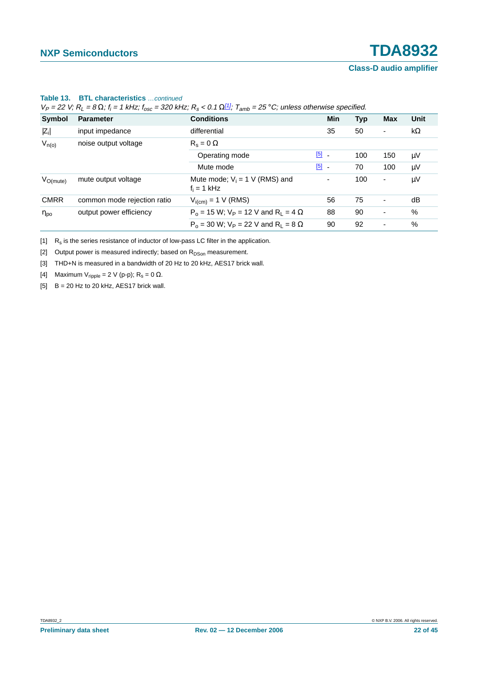|                      | $V_P$ = 22 V; R <sub>L</sub> = 8 $\Omega$ ; f <sub>i</sub> = 1 kHz; f <sub>osc</sub> = 320 kHz; R <sub>s</sub> < 0.1 $\Omega^{11}$ ; T <sub>amb</sub> = 25 °C; unless otherwise specified. |                                                              |               |            |                          |           |  |
|----------------------|--------------------------------------------------------------------------------------------------------------------------------------------------------------------------------------------|--------------------------------------------------------------|---------------|------------|--------------------------|-----------|--|
| Symbol               | <b>Parameter</b>                                                                                                                                                                           | <b>Conditions</b>                                            | Min           | <b>Typ</b> | Max                      | Unit      |  |
| $ Z_i $              | input impedance                                                                                                                                                                            | differential                                                 | 35            | 50         | -                        | $k\Omega$ |  |
| $V_{n(o)}$           | noise output voltage                                                                                                                                                                       | $R_s = 0 \Omega$                                             |               |            |                          |           |  |
|                      |                                                                                                                                                                                            | Operating mode                                               | $\boxed{5}$ . | 100        | 150                      | μV        |  |
|                      |                                                                                                                                                                                            | Mute mode                                                    | $\boxed{5}$ . | 70         | 100                      | μV        |  |
| $V_{O(mute)}$        | mute output voltage                                                                                                                                                                        | Mute mode; $V_i = 1$ V (RMS) and<br>$f_i = 1$ kHz            | -             | 100        | $\overline{\phantom{a}}$ | μV        |  |
| <b>CMRR</b>          | common mode rejection ratio                                                                                                                                                                | $V_{i(cm)} = 1 V (RMS)$                                      | 56            | 75         | -                        | dB        |  |
| $\eta_{\mathsf{po}}$ | output power efficiency                                                                                                                                                                    | $P_0$ = 15 W; V <sub>P</sub> = 12 V and R <sub>L</sub> = 4 Ω | 88            | 90         | -                        | $\%$      |  |
|                      |                                                                                                                                                                                            | $P_0 = 30$ W; $V_P = 22$ V and R <sub>1</sub> = 8 $\Omega$   | 90            | 92         | -                        | $\%$      |  |

#### **Table 13. BTL characteristics** …continued

 $V_P$  = 22 V;  $R_L$  = 8  $\Omega$ ;  $f_i$  = 1 kHz;  $f_{osc}$  = 320 kHz;  $R_s$  < 0.1  $\Omega_{11}^{[1]}$ ;  $T_{amb}$  = 25 °C; unless otherwise specified.

<span id="page-21-0"></span> $[1]$  R<sub>s</sub> is the series resistance of inductor of low-pass LC filter in the application.

<span id="page-21-1"></span>[2] Output power is measured indirectly; based on  $R_{DSon}$  measurement.

<span id="page-21-2"></span>[3] THD+N is measured in a bandwidth of 20 Hz to 20 kHz, AES17 brick wall.

<span id="page-21-3"></span>[4] Maximum V<sub>ripple</sub> = 2 V (p-p);  $R_s = 0 \Omega$ .

<span id="page-21-4"></span> $[5]$  B = 20 Hz to 20 kHz, AES17 brick wall.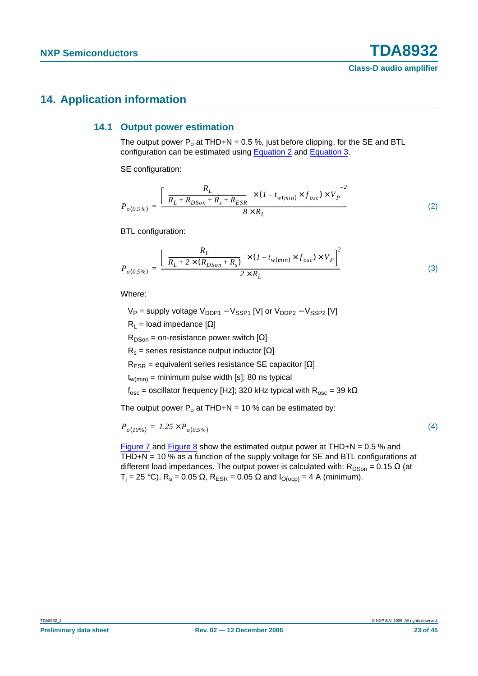## <span id="page-22-3"></span><span id="page-22-2"></span>**14. Application information**

#### **14.1 Output power estimation**

The output power  $P_0$  at THD+N = 0.5 %, just before clipping, for the SE and BTL configuration can be estimated using [Equation](#page-22-0) 2 and [Equation](#page-22-1) 3.

<span id="page-22-0"></span>SE configuration:

$$
P_{o(0.5\%)} = \frac{\left[ \left( \frac{R_L}{R_L + R_{DSon} + R_s + R_{ESR}} \right) \times (1 - t_{w(min)} \times f_{osc}) \times V_P \right]^2}{8 \times R_L}
$$
(2)

<span id="page-22-1"></span>BTL configuration:

$$
P_{o(0.5\%)} = \frac{\left[ \left( \frac{R_L}{R_L + 2 \times (R_{DSon} + R_s)} \right) \times (1 - t_{w(min)} \times f_{osc}) \times V_P \right]^2}{2 \times R_L}
$$
(3)

Where:

 $V_P$  = supply voltage  $V_{DDP1} - V_{SSP1}$  [V] or  $V_{DDP2} - V_{SSP2}$  [V]

 $R_1$  = load impedance  $[\Omega]$ 

 $R_{DSon}$  = on-resistance power switch [ $\Omega$ ]

 $R_s$  = series resistance output inductor [ $\Omega$ ]

 $R_{ESR}$  = equivalent series resistance SE capacitor [ $\Omega$ ]

 $t_{w(min)}$  = minimum pulse width [s]; 80 ns typical

 $f_{\text{osc}}$  = oscillator frequency [Hz]; 320 kHz typical with  $R_{\text{osc}}$  = 39 k $\Omega$ 

The output power  $P_0$  at THD+N = 10 % can be estimated by:

$$
P_{o(10\%)} = 1.25 \times P_{o(0.5\%)} \tag{4}
$$

[Figure](#page-23-1) 7 and Figure 8 show the estimated output power at THD+N =  $0.5$  % and THD+N = 10 % as a function of the supply voltage for SE and BTL configurations at different load impedances. The output power is calculated with:  $R_{DSon} = 0.15 \Omega$  (at  $T_i = 25 \text{ }^{\circ}\text{C}$ ),  $R_s = 0.05 \Omega$ ,  $R_{ESR} = 0.05 \Omega$  and  $I_{O(ocp)} = 4$  A (minimum).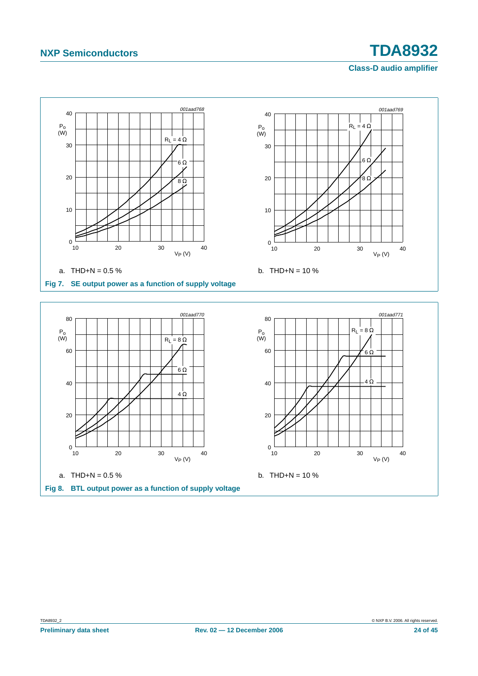

<span id="page-23-1"></span><span id="page-23-0"></span>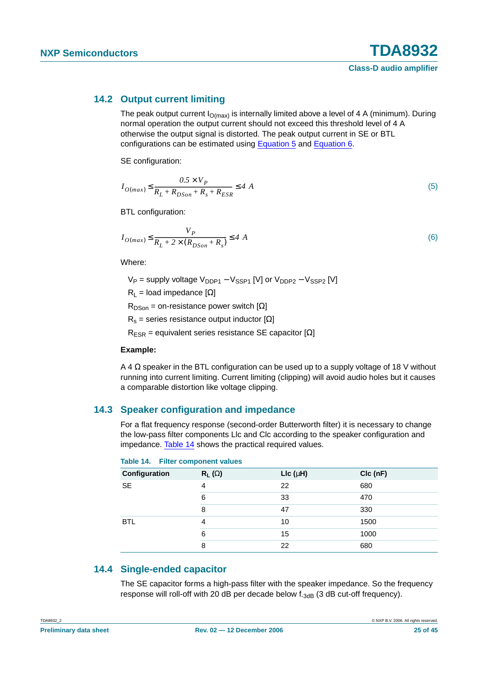#### <span id="page-24-4"></span>**14.2 Output current limiting**

The peak output current  $I_{O(max)}$  is internally limited above a level of 4 A (minimum). During normal operation the output current should not exceed this threshold level of 4 A otherwise the output signal is distorted. The peak output current in SE or BTL configurations can be estimated using [Equation](#page-24-1) 5 and [Equation](#page-24-2) 6.

<span id="page-24-1"></span>SE configuration:

$$
I_{O(max)} \le \frac{0.5 \times V_P}{R_L + R_{DSon} + R_s + R_{ESR}} \le 4 \text{ A}
$$
\n<sup>(5)</sup>

<span id="page-24-2"></span>BTL configuration:

$$
I_{O(max)} \le \frac{V_P}{R_L + 2 \times (R_{DSon} + R_s)} \le 4 \text{ A}
$$
 (6)

Where:

 $V_P$  = supply voltage  $V_{DDP1} - V_{SSP1}$  [V] or  $V_{DDP2} - V_{SSP2}$  [V]

 $R_1$  = load impedance  $[\Omega]$ 

 $R_{DSon}$  = on-resistance power switch [ $\Omega$ ]

 $R_s$  = series resistance output inductor  $[\Omega]$ 

 $R<sub>FSR</sub>$  = equivalent series resistance SE capacitor [ $\Omega$ ]

#### **Example:**

A 4  $\Omega$  speaker in the BTL configuration can be used up to a supply voltage of 18 V without running into current limiting. Current limiting (clipping) will avoid audio holes but it causes a comparable distortion like voltage clipping.

#### <span id="page-24-0"></span>**14.3 Speaker configuration and impedance**

For a flat frequency response (second-order Butterworth filter) it is necessary to change the low-pass filter components Llc and Clc according to the speaker configuration and impedance. [Table](#page-24-3) 14 shows the practical required values.

| TURNS THE THING COMPONISHE VAID CO. |               |                  |            |
|-------------------------------------|---------------|------------------|------------|
| Configuration                       | $R_L(\Omega)$ | $Llc$ ( $\mu$ H) | $Clc$ (nF) |
| <b>SE</b>                           | 4             | 22               | 680        |
|                                     | 6             | 33               | 470        |
|                                     | 8             | 47               | 330        |
| <b>BTL</b>                          | 4             | 10               | 1500       |
|                                     | 6             | 15               | 1000       |
|                                     | 8             | 22               | 680        |

#### <span id="page-24-3"></span>**Table 14. Filter component values**

#### <span id="page-24-5"></span>**14.4 Single-ended capacitor**

The SE capacitor forms a high-pass filter with the speaker impedance. So the frequency response will roll-off with 20 dB per decade below  $f_{-3dB}$  (3 dB cut-off frequency).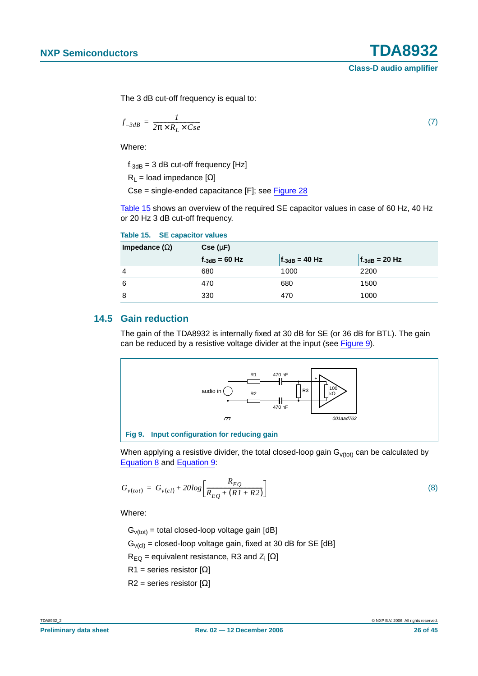(7)

The 3 dB cut-off frequency is equal to:

$$
f_{-3dB} = \frac{1}{2\pi \times R_L \times Cse}
$$

Where:

 $f_{-3dB}$  = 3 dB cut-off frequency [Hz]

 $R_1$  = load impedance  $[\Omega]$ 

Cse = single-ended capacitance [F]; see [Figure](#page-34-0) 28

[Table](#page-25-0) 15 shows an overview of the required SE capacitor values in case of 60 Hz, 40 Hz or 20 Hz 3 dB cut-off frequency.

| Impedance $(\Omega)$ | $Cse(\mu F)$       |                    |                    |  |  |
|----------------------|--------------------|--------------------|--------------------|--|--|
|                      | $f_{-3dB} = 60 Hz$ | $f_{-3dB} = 40 Hz$ | $f_{-3dB} = 20 Hz$ |  |  |
| 4                    | 680                | 1000               | 2200               |  |  |
| 6                    | 470                | 680                | 1500               |  |  |
| 8                    | 330                | 470                | 1000               |  |  |

### <span id="page-25-0"></span>**Table 15. SE capacitor values**

#### <span id="page-25-3"></span>**14.5 Gain reduction**

The gain of the TDA8932 is internally fixed at 30 dB for SE (or 36 dB for BTL). The gain can be reduced by a resistive voltage divider at the input (see [Figure](#page-25-1) 9).



<span id="page-25-1"></span>**Fig 9. Input configuration for reducing gain**

When applying a resistive divider, the total closed-loop gain  $G_{v(tot)}$  can be calculated by [Equation](#page-25-2) 8 and [Equation](#page-26-1) 9:

<span id="page-25-2"></span>
$$
G_{v(tot)} = G_{v(cl)} + 20log \left[ \frac{R_{EQ}}{R_{EQ} + (RI + R2)} \right]
$$
 (8)

Where:

 $G<sub>v(tot)</sub> = total closed-loop voltage gain [dB]$  $G_{\text{V(cl)}}$  = closed-loop voltage gain, fixed at 30 dB for SE [dB]

 $R_{\text{EQ}}$  = equivalent resistance, R3 and Z<sub>i</sub> [Ω]

 $R1$  = series resistor [Ω]

R2 = series resistor  $[Ω]$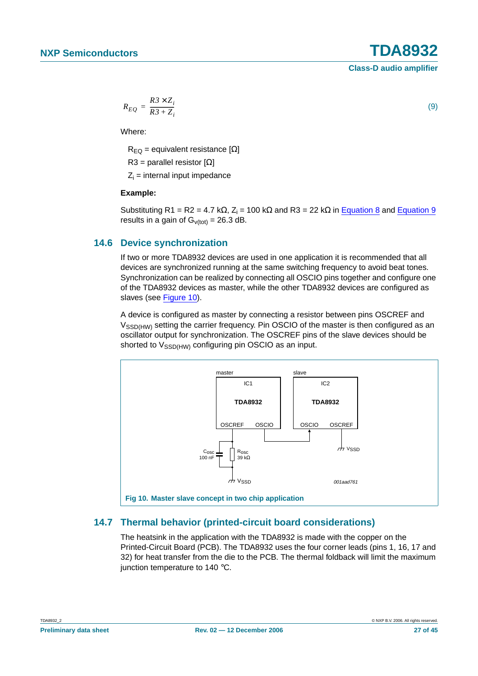<span id="page-26-1"></span>
$$
R_{EQ} = \frac{R3 \times Z_i}{R3 + Z_i}
$$

Where:

 $R_{FO}$  = equivalent resistance [ $\Omega$ ]

R3 = parallel resistor  $[\Omega]$ 

 $Z_i$  = internal input impedance

#### **Example:**

Substituting R1 = R2 = 4.7 kΩ, Z<sub>i</sub> = 100 kΩ and R3 = 22 kΩ in [Equation](#page-26-1) 8 and Equation 9 results in a gain of  $G<sub>v(tot)</sub> = 26.3 dB$ .

#### <span id="page-26-0"></span>**14.6 Device synchronization**

If two or more TDA8932 devices are used in one application it is recommended that all devices are synchronized running at the same switching frequency to avoid beat tones. Synchronization can be realized by connecting all OSCIO pins together and configure one of the TDA8932 devices as master, while the other TDA8932 devices are configured as slaves (see [Figure](#page-26-2) 10).

A device is configured as master by connecting a resistor between pins OSCREF and V<sub>SSD(HW)</sub> setting the carrier frequency. Pin OSCIO of the master is then configured as an oscillator output for synchronization. The OSCREF pins of the slave devices should be shorted to  $V_{\text{SSD(HW)}}$  configuring pin OSCIO as an input.



#### <span id="page-26-3"></span><span id="page-26-2"></span>**14.7 Thermal behavior (printed-circuit board considerations)**

The heatsink in the application with the TDA8932 is made with the copper on the Printed-Circuit Board (PCB). The TDA8932 uses the four corner leads (pins 1, 16, 17 and 32) for heat transfer from the die to the PCB. The thermal foldback will limit the maximum junction temperature to 140 °C.

(9)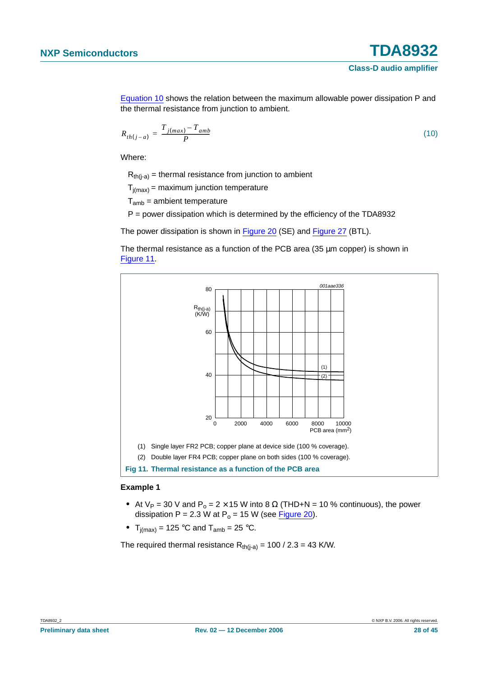[Equation](#page-27-0) 10 shows the relation between the maximum allowable power dissipation P and the thermal resistance from junction to ambient.

<span id="page-27-0"></span>
$$
R_{th(j-a)} = \frac{T_{j(max)} - T_{amb}}{P}
$$
\n(10)

Where:

 $R_{th(i-a)}$  = thermal resistance from junction to ambient

 $T_{j(max)}$  = maximum junction temperature

 $T<sub>amb</sub>$  = ambient temperature

P = power dissipation which is determined by the efficiency of the TDA8932

The power dissipation is shown in [Figure](#page-31-0) 20 (SE) and [Figure](#page-33-0) 27 (BTL).

The thermal resistance as a function of the PCB area (35  $\mu$ m copper) is shown in [Figure](#page-27-1) 11.



#### <span id="page-27-1"></span>**Example 1**

- At  $V_P = 30$  V and  $P_0 = 2 \times 15$  W into 8  $\Omega$  (THD+N = 10 % continuous), the power dissipation  $P = 2.3 W$  at  $P_0 = 15 W$  (see [Figure](#page-31-0) 20).
- $\mathsf{T}_{\mathsf{j}(\mathsf{max})}$  = 125 °C and  $\mathsf{T}_{\mathsf{amb}}$  = 25 °C.

The required thermal resistance  $R_{th(i-a)} = 100 / 2.3 = 43$  K/W.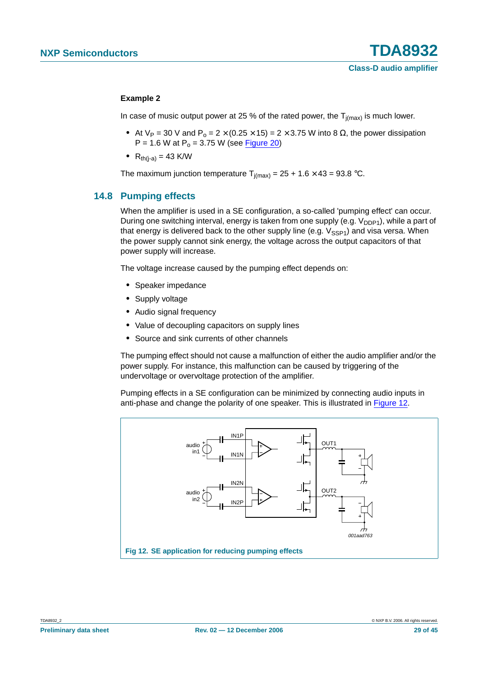#### **Example 2**

In case of music output power at 25 % of the rated power, the  $T_{i(max)}$  is much lower.

- At  $V_P = 30$  V and  $P_o = 2 \times (0.25 \times 15) = 2 \times 3.75$  W into 8  $\Omega$ , the power dissipation  $P = 1.6 W$  at  $P_0 = 3.75 W$  (see [Figure](#page-31-0) 20)
- $R_{th(i-a)} = 43$  K/W

The maximum junction temperature  $T_{i(max)} = 25 + 1.6 \times 43 = 93.8$  °C.

#### <span id="page-28-0"></span>**14.8 Pumping effects**

When the amplifier is used in a SE configuration, a so-called 'pumping effect' can occur. During one switching interval, energy is taken from one supply (e.g.  $V_{DDP1}$ ), while a part of that energy is delivered back to the other supply line (e.g.  $V_{SSP1}$ ) and visa versa. When the power supply cannot sink energy, the voltage across the output capacitors of that power supply will increase.

The voltage increase caused by the pumping effect depends on:

- **•** Speaker impedance
- **•** Supply voltage
- **•** Audio signal frequency
- **•** Value of decoupling capacitors on supply lines
- **•** Source and sink currents of other channels

The pumping effect should not cause a malfunction of either the audio amplifier and/or the power supply. For instance, this malfunction can be caused by triggering of the undervoltage or overvoltage protection of the amplifier.

Pumping effects in a SE configuration can be minimized by connecting audio inputs in anti-phase and change the polarity of one speaker. This is illustrated in [Figure](#page-28-1) 12.

<span id="page-28-1"></span>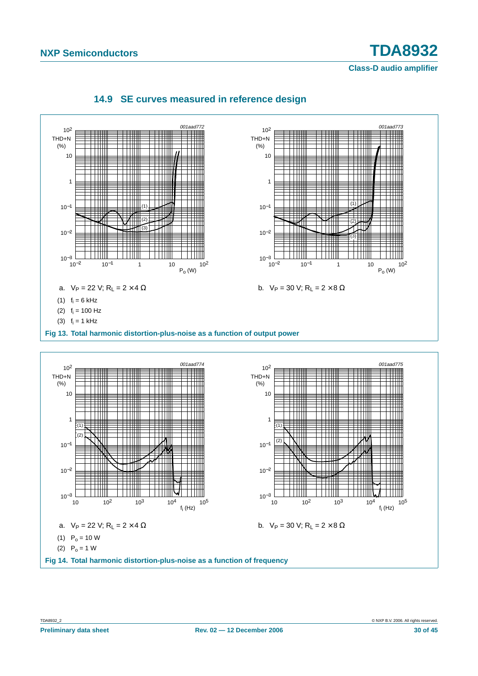<span id="page-29-0"></span>

### **14.9 SE curves measured in reference design**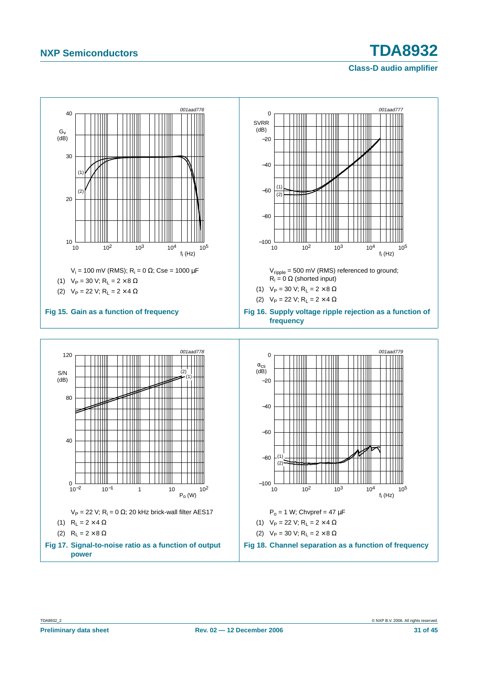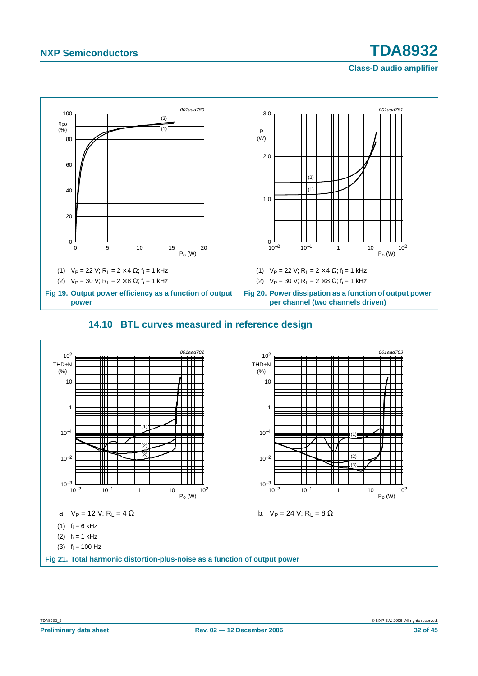# **Class-D audio amplifier**



#### <span id="page-31-0"></span>**14.10 BTL curves measured in reference design**

<span id="page-31-1"></span>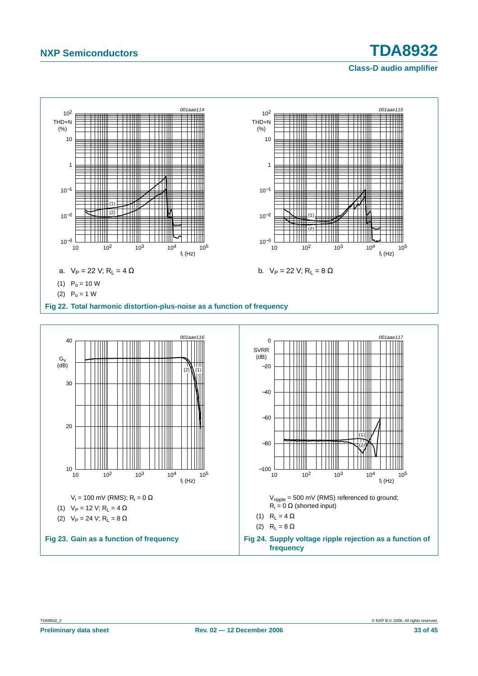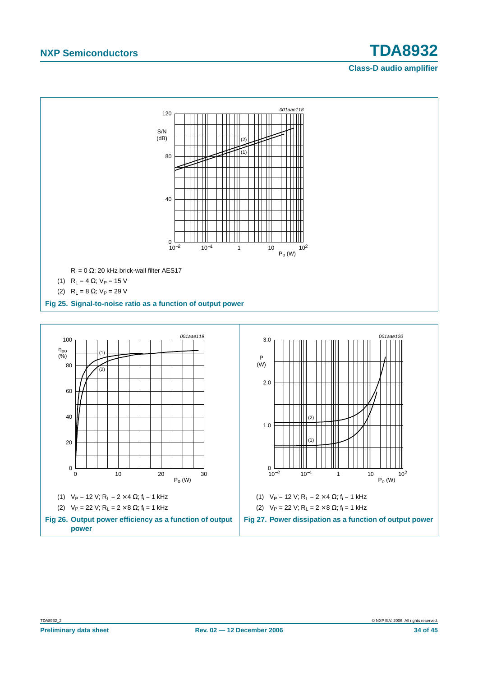

<span id="page-33-0"></span>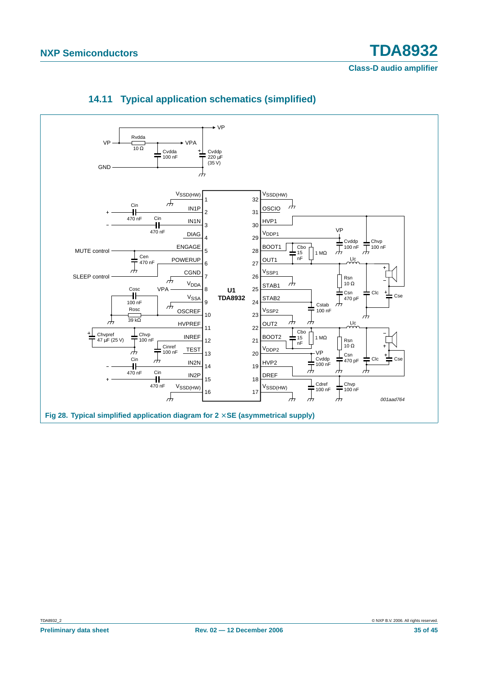<span id="page-34-1"></span><span id="page-34-0"></span>

## **14.11 Typical application schematics (simplified)**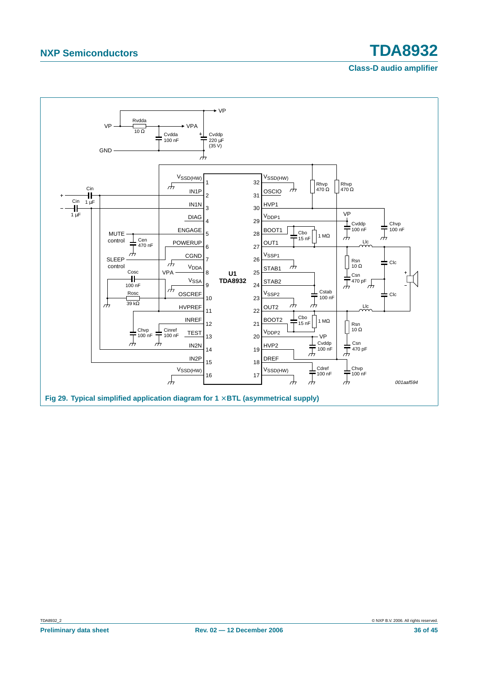<span id="page-35-0"></span>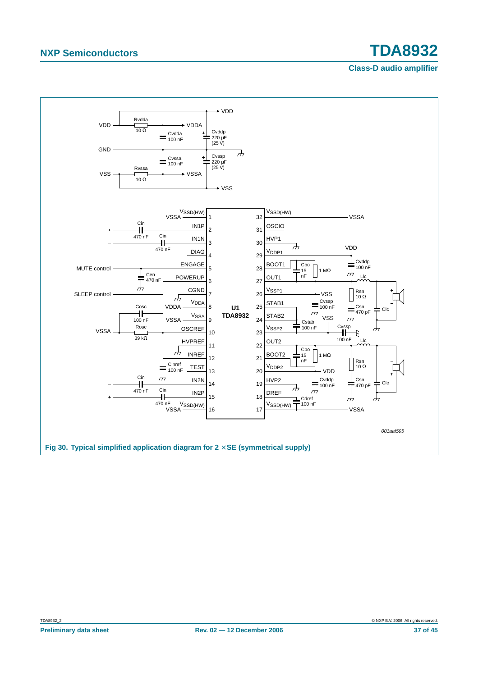<span id="page-36-0"></span>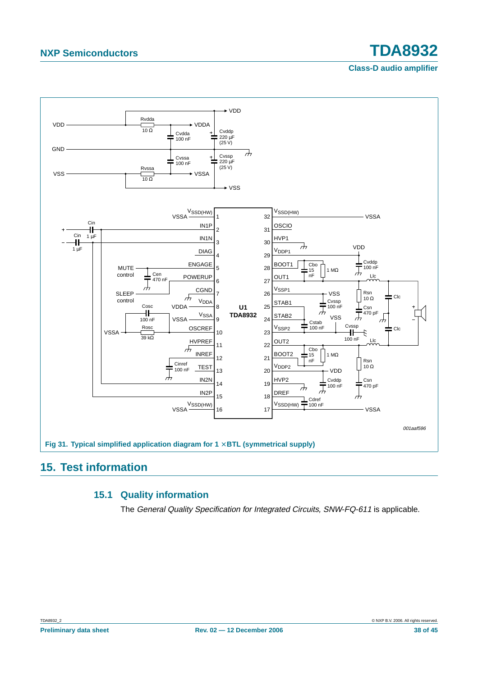#### **Class-D audio amplifier**



## <span id="page-37-2"></span><span id="page-37-1"></span><span id="page-37-0"></span>**15. Test information**

#### **15.1 Quality information**

The General Quality Specification for Integrated Circuits, SNW-FQ-611 is applicable.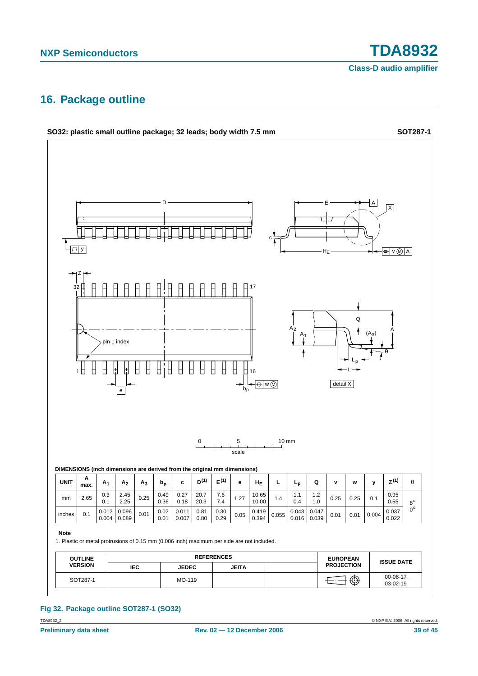## <span id="page-38-0"></span>**16. Package outline**



#### TDA8932\_2 © NXP B.V. 2006. All rights reserved. **Fig 32. Package outline SOT287-1 (SO32)**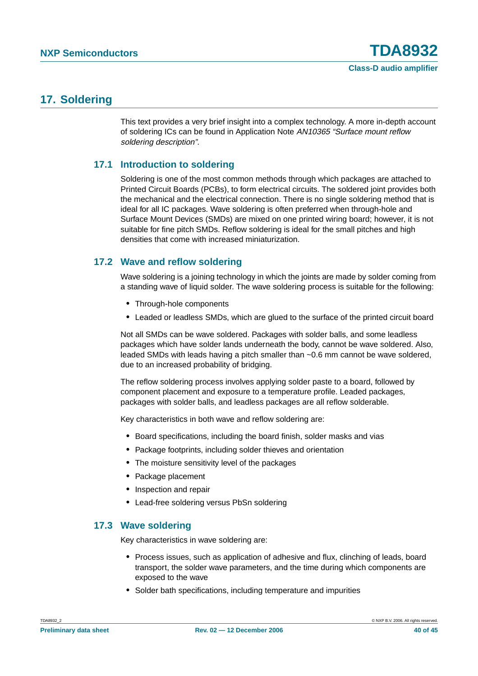## <span id="page-39-0"></span>**17. Soldering**

This text provides a very brief insight into a complex technology. A more in-depth account of soldering ICs can be found in Application Note AN10365 "Surface mount reflow soldering description".

### <span id="page-39-1"></span>**17.1 Introduction to soldering**

Soldering is one of the most common methods through which packages are attached to Printed Circuit Boards (PCBs), to form electrical circuits. The soldered joint provides both the mechanical and the electrical connection. There is no single soldering method that is ideal for all IC packages. Wave soldering is often preferred when through-hole and Surface Mount Devices (SMDs) are mixed on one printed wiring board; however, it is not suitable for fine pitch SMDs. Reflow soldering is ideal for the small pitches and high densities that come with increased miniaturization.

### <span id="page-39-2"></span>**17.2 Wave and reflow soldering**

Wave soldering is a joining technology in which the joints are made by solder coming from a standing wave of liquid solder. The wave soldering process is suitable for the following:

- **•** Through-hole components
- **•** Leaded or leadless SMDs, which are glued to the surface of the printed circuit board

Not all SMDs can be wave soldered. Packages with solder balls, and some leadless packages which have solder lands underneath the body, cannot be wave soldered. Also, leaded SMDs with leads having a pitch smaller than ~0.6 mm cannot be wave soldered, due to an increased probability of bridging.

The reflow soldering process involves applying solder paste to a board, followed by component placement and exposure to a temperature profile. Leaded packages, packages with solder balls, and leadless packages are all reflow solderable.

Key characteristics in both wave and reflow soldering are:

- **•** Board specifications, including the board finish, solder masks and vias
- **•** Package footprints, including solder thieves and orientation
- **•** The moisture sensitivity level of the packages
- **•** Package placement
- **•** Inspection and repair
- **•** Lead-free soldering versus PbSn soldering

#### <span id="page-39-3"></span>**17.3 Wave soldering**

Key characteristics in wave soldering are:

- **•** Process issues, such as application of adhesive and flux, clinching of leads, board transport, the solder wave parameters, and the time during which components are exposed to the wave
- **•** Solder bath specifications, including temperature and impurities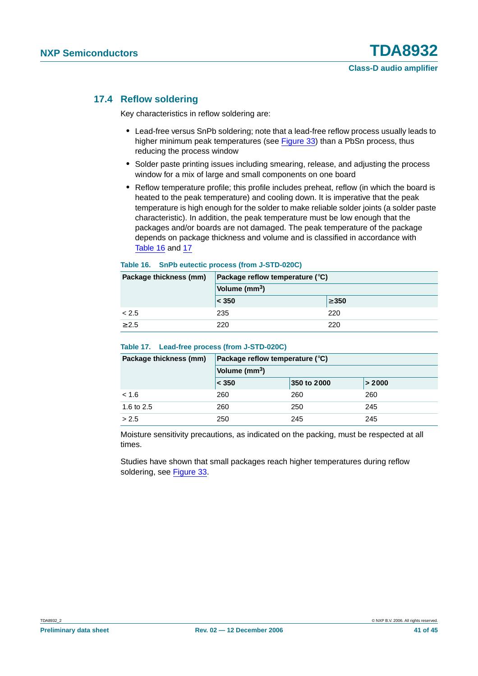#### <span id="page-40-0"></span>**17.4 Reflow soldering**

Key characteristics in reflow soldering are:

- **•** Lead-free versus SnPb soldering; note that a lead-free reflow process usually leads to higher minimum peak temperatures (see Figure 33) than a PbSn process, thus reducing the process window
- **•** Solder paste printing issues including smearing, release, and adjusting the process window for a mix of large and small components on one board
- **•** Reflow temperature profile; this profile includes preheat, reflow (in which the board is heated to the peak temperature) and cooling down. It is imperative that the peak temperature is high enough for the solder to make reliable solder joints (a solder paste characteristic). In addition, the peak temperature must be low enough that the packages and/or boards are not damaged. The peak temperature of the package depends on package thickness and volume and is classified in accordance with Table 16 and 17

#### **Table 16. SnPb eutectic process (from J-STD-020C)**

| Package thickness (mm) | Package reflow temperature $(^\circ \text{C})$ |            |  |
|------------------------|------------------------------------------------|------------|--|
|                        | Volume (mm <sup>3</sup> )                      |            |  |
|                        | $ <$ 350                                       | $\geq 350$ |  |
| < 2.5                  | 235                                            | 220        |  |
| > 2.5                  | 220                                            | 220        |  |

#### **Table 17. Lead-free process (from J-STD-020C)**

| Package thickness (mm) | Package reflow temperature $(^\circ \text{C})$ |             |        |  |
|------------------------|------------------------------------------------|-------------|--------|--|
|                        | Volume (mm <sup>3</sup> )                      |             |        |  |
|                        | $ <$ 350                                       | 350 to 2000 | > 2000 |  |
| < 1.6                  | 260                                            | 260         | 260    |  |
| 1.6 to 2.5             | 260                                            | 250         | 245    |  |
| > 2.5                  | 250                                            | 245         | 245    |  |

Moisture sensitivity precautions, as indicated on the packing, must be respected at all times.

Studies have shown that small packages reach higher temperatures during reflow soldering, see Figure 33.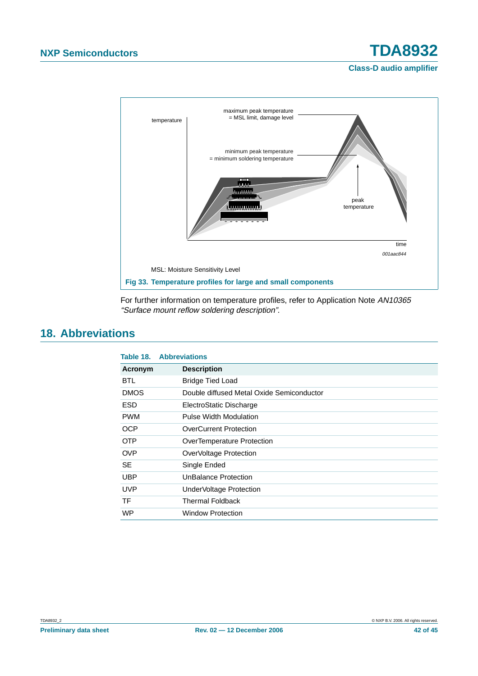

For further information on temperature profiles, refer to Application Note AN10365 "Surface mount reflow soldering description".

# <span id="page-41-0"></span>**18. Abbreviations**

| Table 18.   | <b>Abbreviations</b>                      |
|-------------|-------------------------------------------|
| Acronym     | <b>Description</b>                        |
| <b>BTL</b>  | <b>Bridge Tied Load</b>                   |
| <b>DMOS</b> | Double diffused Metal Oxide Semiconductor |
| <b>ESD</b>  | ElectroStatic Discharge                   |
| <b>PWM</b>  | Pulse Width Modulation                    |
| <b>OCP</b>  | <b>OverCurrent Protection</b>             |
| <b>OTP</b>  | OverTemperature Protection                |
| <b>OVP</b>  | OverVoltage Protection                    |
| <b>SE</b>   | Single Ended                              |
| <b>UBP</b>  | UnBalance Protection                      |
| <b>UVP</b>  | UnderVoltage Protection                   |
| TF          | <b>Thermal Foldback</b>                   |
| <b>WP</b>   | Window Protection                         |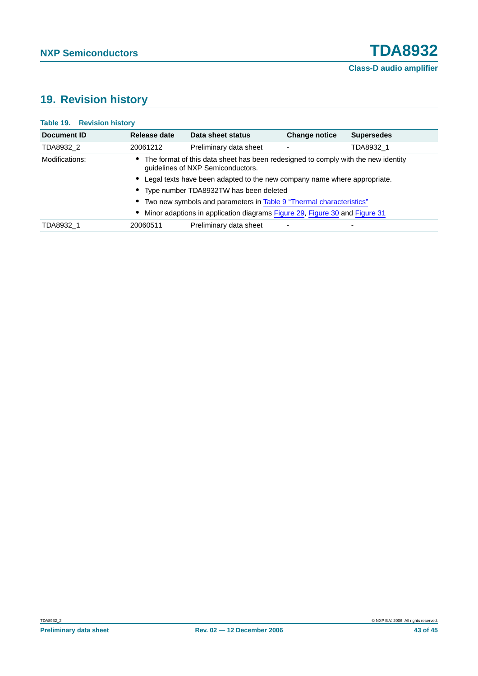# <span id="page-42-0"></span>**19. Revision history**

| Document ID    | Release date                                                                                                                                                                                                                                                                               | Data sheet status      | <b>Change notice</b> | <b>Supersedes</b> |  |           |          |                        |  |
|----------------|--------------------------------------------------------------------------------------------------------------------------------------------------------------------------------------------------------------------------------------------------------------------------------------------|------------------------|----------------------|-------------------|--|-----------|----------|------------------------|--|
| TDA8932 2      | 20061212                                                                                                                                                                                                                                                                                   | Preliminary data sheet | ٠                    | TDA8932 1         |  |           |          |                        |  |
| Modifications: | • The format of this data sheet has been redesigned to comply with the new identity<br>guidelines of NXP Semiconductors.                                                                                                                                                                   |                        |                      |                   |  |           |          |                        |  |
|                | • Legal texts have been adapted to the new company name where appropriate.<br>• Type number TDA8932TW has been deleted<br>• Two new symbols and parameters in Table 9 "Thermal characteristics"<br>Minor adaptions in application diagrams Figure 29, Figure 30 and Figure 31<br>$\bullet$ |                        |                      |                   |  |           |          |                        |  |
|                |                                                                                                                                                                                                                                                                                            |                        |                      |                   |  |           |          |                        |  |
|                |                                                                                                                                                                                                                                                                                            |                        |                      |                   |  | TDA8932_1 | 20060511 | Preliminary data sheet |  |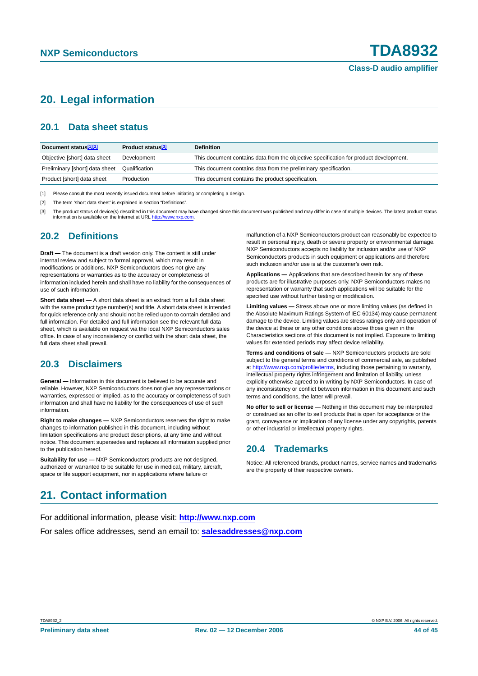# <span id="page-43-0"></span>**20. Legal information**

### <span id="page-43-1"></span>**20.1 Data sheet status**

| Document status <sup>[1][2]</sup> | Product status <sup>[3]</sup> | <b>Definition</b>                                                                     |
|-----------------------------------|-------------------------------|---------------------------------------------------------------------------------------|
| Objective [short] data sheet      | Development                   | This document contains data from the objective specification for product development. |
| Preliminary [short] data sheet    | Qualification                 | This document contains data from the preliminary specification.                       |
| Product [short] data sheet        | Production                    | This document contains the product specification.                                     |

[1] Please consult the most recently issued document before initiating or completing a design.

[2] The term 'short data sheet' is explained in section "Definitions".

The product status of device(s) described in this document may have changed since this document was published and may differ in case of multiple devices. The latest product status information is available on the Internet at URL <http://www.nxp.com>.

#### <span id="page-43-2"></span>**20.2 Definitions**

**Draft —** The document is a draft version only. The content is still under internal review and subject to formal approval, which may result in modifications or additions. NXP Semiconductors does not give any representations or warranties as to the accuracy or completeness of information included herein and shall have no liability for the consequences of use of such information.

**Short data sheet —** A short data sheet is an extract from a full data sheet with the same product type number(s) and title. A short data sheet is intended for quick reference only and should not be relied upon to contain detailed and full information. For detailed and full information see the relevant full data sheet, which is available on request via the local NXP Semiconductors sales office. In case of any inconsistency or conflict with the short data sheet, the full data sheet shall prevail.

#### <span id="page-43-3"></span>**20.3 Disclaimers**

**General —** Information in this document is believed to be accurate and reliable. However, NXP Semiconductors does not give any representations or warranties, expressed or implied, as to the accuracy or completeness of such information and shall have no liability for the consequences of use of such information.

**Right to make changes —** NXP Semiconductors reserves the right to make changes to information published in this document, including without limitation specifications and product descriptions, at any time and without notice. This document supersedes and replaces all information supplied prior to the publication hereof.

**Suitability for use —** NXP Semiconductors products are not designed, authorized or warranted to be suitable for use in medical, military, aircraft, space or life support equipment, nor in applications where failure or

malfunction of a NXP Semiconductors product can reasonably be expected to result in personal injury, death or severe property or environmental damage. NXP Semiconductors accepts no liability for inclusion and/or use of NXP Semiconductors products in such equipment or applications and therefore such inclusion and/or use is at the customer's own risk.

**Applications —** Applications that are described herein for any of these products are for illustrative purposes only. NXP Semiconductors makes no representation or warranty that such applications will be suitable for the specified use without further testing or modification.

**Limiting values —** Stress above one or more limiting values (as defined in the Absolute Maximum Ratings System of IEC 60134) may cause permanent damage to the device. Limiting values are stress ratings only and operation of the device at these or any other conditions above those given in the Characteristics sections of this document is not implied. Exposure to limiting values for extended periods may affect device reliability.

**Terms and conditions of sale —** NXP Semiconductors products are sold subject to the general terms and conditions of commercial sale, as published at <http://www.nxp.com/profile/terms>, including those pertaining to warranty, intellectual property rights infringement and limitation of liability, unless explicitly otherwise agreed to in writing by NXP Semiconductors. In case of any inconsistency or conflict between information in this document and such terms and conditions, the latter will prevail.

**No offer to sell or license —** Nothing in this document may be interpreted or construed as an offer to sell products that is open for acceptance or the grant, conveyance or implication of any license under any copyrights, patents or other industrial or intellectual property rights.

#### <span id="page-43-4"></span>**20.4 Trademarks**

Notice: All referenced brands, product names, service names and trademarks are the property of their respective owners.

# <span id="page-43-5"></span>**21. Contact information**

For additional information, please visit: **http://www.nxp.com**

For sales office addresses, send an email to: **salesaddresses@nxp.com**